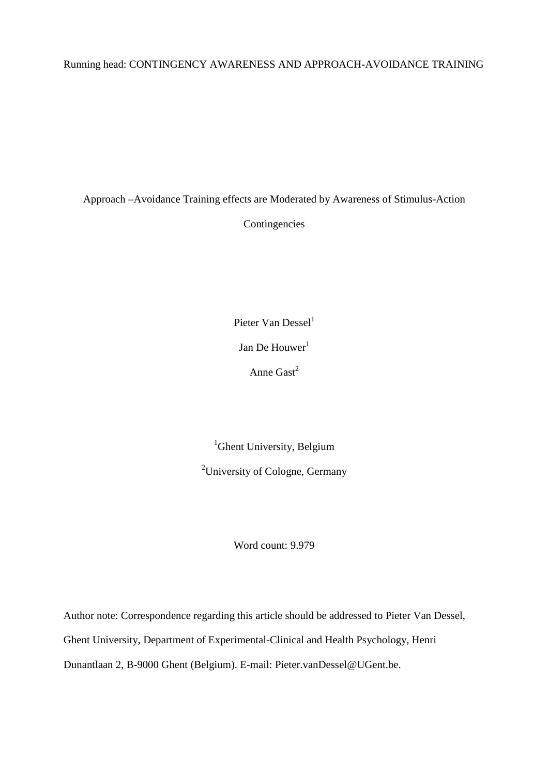# Running head: CONTINGENCY AWARENESS AND APPROACH-AVOIDANCE TRAINING

Approach –Avoidance Training effects are Moderated by Awareness of Stimulus-Action

Contingencies

Pieter Van Dessel $<sup>1</sup>$ </sup> Jan De Houwer<sup>1</sup>

Anne  $\text{Gast}^2$ 

<sup>1</sup>Ghent University, Belgium

<sup>2</sup>University of Cologne, Germany

Word count: 9.979

Author note: Correspondence regarding this article should be addressed to Pieter Van Dessel, Ghent University, Department of Experimental-Clinical and Health Psychology, Henri Dunantlaan 2, B-9000 Ghent (Belgium). E-mail: Pieter.vanDessel@UGent.be.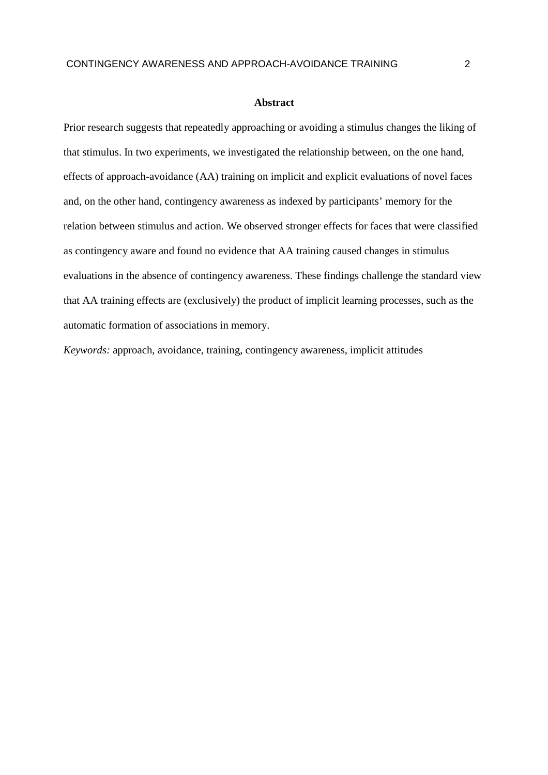#### **Abstract**

Prior research suggests that repeatedly approaching or avoiding a stimulus changes the liking of that stimulus. In two experiments, we investigated the relationship between, on the one hand, effects of approach-avoidance (AA) training on implicit and explicit evaluations of novel faces and, on the other hand, contingency awareness as indexed by participants' memory for the relation between stimulus and action. We observed stronger effects for faces that were classified as contingency aware and found no evidence that AA training caused changes in stimulus evaluations in the absence of contingency awareness. These findings challenge the standard view that AA training effects are (exclusively) the product of implicit learning processes, such as the automatic formation of associations in memory.

*Keywords:* approach, avoidance, training, contingency awareness, implicit attitudes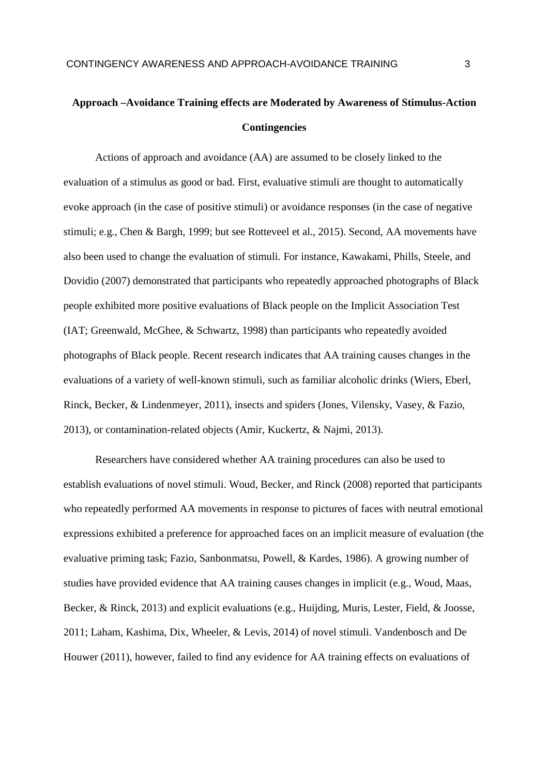# **Approach –Avoidance Training effects are Moderated by Awareness of Stimulus-Action Contingencies**

Actions of approach and avoidance (AA) are assumed to be closely linked to the evaluation of a stimulus as good or bad. First, evaluative stimuli are thought to automatically evoke approach (in the case of positive stimuli) or avoidance responses (in the case of negative stimuli; e.g., Chen & Bargh, 1999; but see Rotteveel et al., 2015). Second, AA movements have also been used to change the evaluation of stimuli. For instance, Kawakami, Phills, Steele, and Dovidio (2007) demonstrated that participants who repeatedly approached photographs of Black people exhibited more positive evaluations of Black people on the Implicit Association Test (IAT; Greenwald, McGhee, & Schwartz, 1998) than participants who repeatedly avoided photographs of Black people. Recent research indicates that AA training causes changes in the evaluations of a variety of well-known stimuli, such as familiar alcoholic drinks (Wiers, Eberl, Rinck, Becker, & Lindenmeyer, 2011), insects and spiders (Jones, Vilensky, Vasey, & Fazio, 2013), or contamination-related objects (Amir, Kuckertz, & Najmi, 2013).

Researchers have considered whether AA training procedures can also be used to establish evaluations of novel stimuli. Woud, Becker, and Rinck (2008) reported that participants who repeatedly performed AA movements in response to pictures of faces with neutral emotional expressions exhibited a preference for approached faces on an implicit measure of evaluation (the evaluative priming task; Fazio, Sanbonmatsu, Powell, & Kardes, 1986). A growing number of studies have provided evidence that AA training causes changes in implicit (e.g., Woud, Maas, Becker, & Rinck, 2013) and explicit evaluations (e.g., Huijding, Muris, Lester, Field, & Joosse, 2011; Laham, Kashima, Dix, Wheeler, & Levis, 2014) of novel stimuli. Vandenbosch and De Houwer (2011), however, failed to find any evidence for AA training effects on evaluations of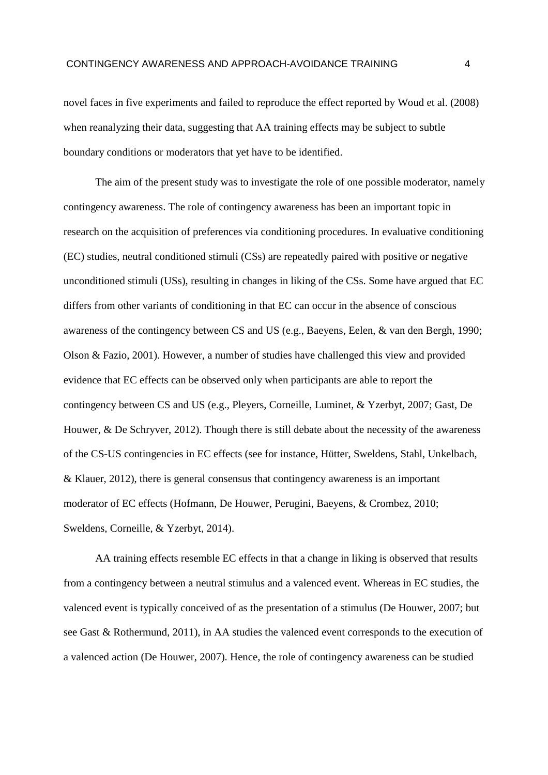novel faces in five experiments and failed to reproduce the effect reported by Woud et al. (2008) when reanalyzing their data, suggesting that AA training effects may be subject to subtle boundary conditions or moderators that yet have to be identified.

The aim of the present study was to investigate the role of one possible moderator, namely contingency awareness. The role of contingency awareness has been an important topic in research on the acquisition of preferences via conditioning procedures. In evaluative conditioning (EC) studies, neutral conditioned stimuli (CSs) are repeatedly paired with positive or negative unconditioned stimuli (USs), resulting in changes in liking of the CSs. Some have argued that EC differs from other variants of conditioning in that EC can occur in the absence of conscious awareness of the contingency between CS and US (e.g., Baeyens, Eelen, & van den Bergh, 1990; Olson & Fazio, 2001). However, a number of studies have challenged this view and provided evidence that EC effects can be observed only when participants are able to report the contingency between CS and US (e.g., Pleyers, Corneille, Luminet, & Yzerbyt, 2007; Gast, De Houwer, & De Schryver, 2012). Though there is still debate about the necessity of the awareness of the CS-US contingencies in EC effects (see for instance, Hütter, Sweldens, Stahl, Unkelbach, & Klauer, 2012), there is general consensus that contingency awareness is an important moderator of EC effects (Hofmann, De Houwer, Perugini, Baeyens, & Crombez, 2010; Sweldens, Corneille, & Yzerbyt, 2014).

AA training effects resemble EC effects in that a change in liking is observed that results from a contingency between a neutral stimulus and a valenced event. Whereas in EC studies, the valenced event is typically conceived of as the presentation of a stimulus (De Houwer, 2007; but see Gast & Rothermund, 2011), in AA studies the valenced event corresponds to the execution of a valenced action (De Houwer, 2007). Hence, the role of contingency awareness can be studied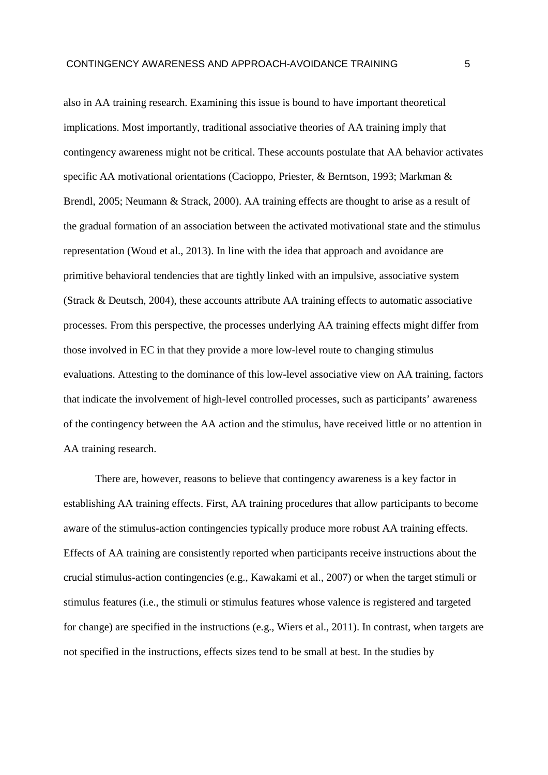also in AA training research. Examining this issue is bound to have important theoretical implications. Most importantly, traditional associative theories of AA training imply that contingency awareness might not be critical. These accounts postulate that AA behavior activates specific AA motivational orientations (Cacioppo, Priester, & Berntson, 1993; Markman & Brendl, 2005; Neumann & Strack, 2000). AA training effects are thought to arise as a result of the gradual formation of an association between the activated motivational state and the stimulus representation (Woud et al., 2013). In line with the idea that approach and avoidance are primitive behavioral tendencies that are tightly linked with an impulsive, associative system (Strack & Deutsch, 2004), these accounts attribute AA training effects to automatic associative processes. From this perspective, the processes underlying AA training effects might differ from those involved in EC in that they provide a more low-level route to changing stimulus evaluations. Attesting to the dominance of this low-level associative view on AA training, factors that indicate the involvement of high-level controlled processes, such as participants' awareness of the contingency between the AA action and the stimulus, have received little or no attention in AA training research.

There are, however, reasons to believe that contingency awareness is a key factor in establishing AA training effects. First, AA training procedures that allow participants to become aware of the stimulus-action contingencies typically produce more robust AA training effects. Effects of AA training are consistently reported when participants receive instructions about the crucial stimulus-action contingencies (e.g., Kawakami et al., 2007) or when the target stimuli or stimulus features (i.e., the stimuli or stimulus features whose valence is registered and targeted for change) are specified in the instructions (e.g., Wiers et al., 2011). In contrast, when targets are not specified in the instructions, effects sizes tend to be small at best. In the studies by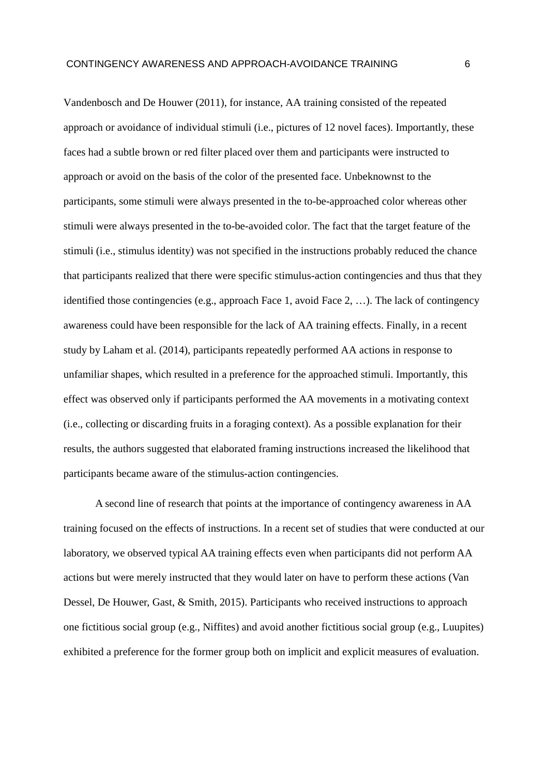Vandenbosch and De Houwer (2011), for instance, AA training consisted of the repeated approach or avoidance of individual stimuli (i.e., pictures of 12 novel faces). Importantly, these faces had a subtle brown or red filter placed over them and participants were instructed to approach or avoid on the basis of the color of the presented face. Unbeknownst to the participants, some stimuli were always presented in the to-be-approached color whereas other stimuli were always presented in the to-be-avoided color. The fact that the target feature of the stimuli (i.e., stimulus identity) was not specified in the instructions probably reduced the chance that participants realized that there were specific stimulus-action contingencies and thus that they identified those contingencies (e.g., approach Face 1, avoid Face 2, …). The lack of contingency awareness could have been responsible for the lack of AA training effects. Finally, in a recent study by Laham et al. (2014), participants repeatedly performed AA actions in response to unfamiliar shapes, which resulted in a preference for the approached stimuli. Importantly, this effect was observed only if participants performed the AA movements in a motivating context (i.e., collecting or discarding fruits in a foraging context). As a possible explanation for their results, the authors suggested that elaborated framing instructions increased the likelihood that participants became aware of the stimulus-action contingencies.

A second line of research that points at the importance of contingency awareness in AA training focused on the effects of instructions. In a recent set of studies that were conducted at our laboratory, we observed typical AA training effects even when participants did not perform AA actions but were merely instructed that they would later on have to perform these actions (Van Dessel, De Houwer, Gast, & Smith, 2015). Participants who received instructions to approach one fictitious social group (e.g., Niffites) and avoid another fictitious social group (e.g., Luupites) exhibited a preference for the former group both on implicit and explicit measures of evaluation.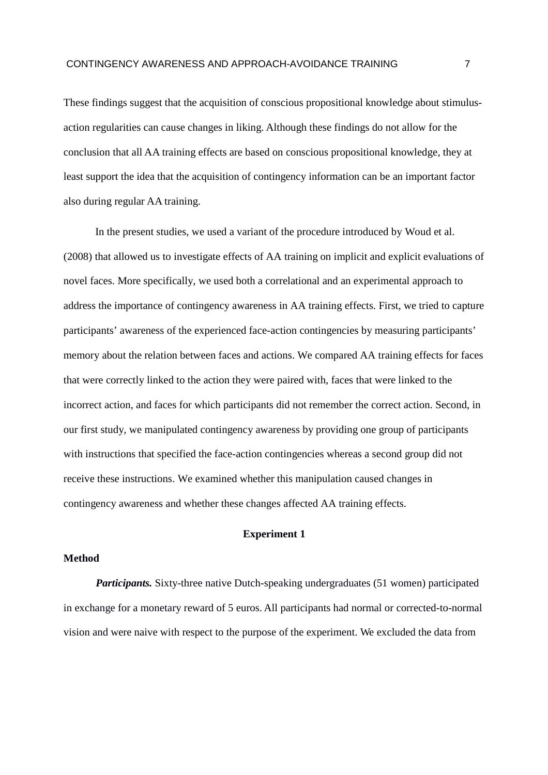These findings suggest that the acquisition of conscious propositional knowledge about stimulusaction regularities can cause changes in liking. Although these findings do not allow for the conclusion that all AA training effects are based on conscious propositional knowledge, they at least support the idea that the acquisition of contingency information can be an important factor also during regular AA training.

In the present studies, we used a variant of the procedure introduced by Woud et al. (2008) that allowed us to investigate effects of AA training on implicit and explicit evaluations of novel faces. More specifically, we used both a correlational and an experimental approach to address the importance of contingency awareness in AA training effects. First, we tried to capture participants' awareness of the experienced face-action contingencies by measuring participants' memory about the relation between faces and actions. We compared AA training effects for faces that were correctly linked to the action they were paired with, faces that were linked to the incorrect action, and faces for which participants did not remember the correct action. Second, in our first study, we manipulated contingency awareness by providing one group of participants with instructions that specified the face-action contingencies whereas a second group did not receive these instructions. We examined whether this manipulation caused changes in contingency awareness and whether these changes affected AA training effects.

### **Experiment 1**

### **Method**

*Participants.* Sixty-three native Dutch-speaking undergraduates (51 women) participated in exchange for a monetary reward of 5 euros. All participants had normal or corrected-to-normal vision and were naive with respect to the purpose of the experiment. We excluded the data from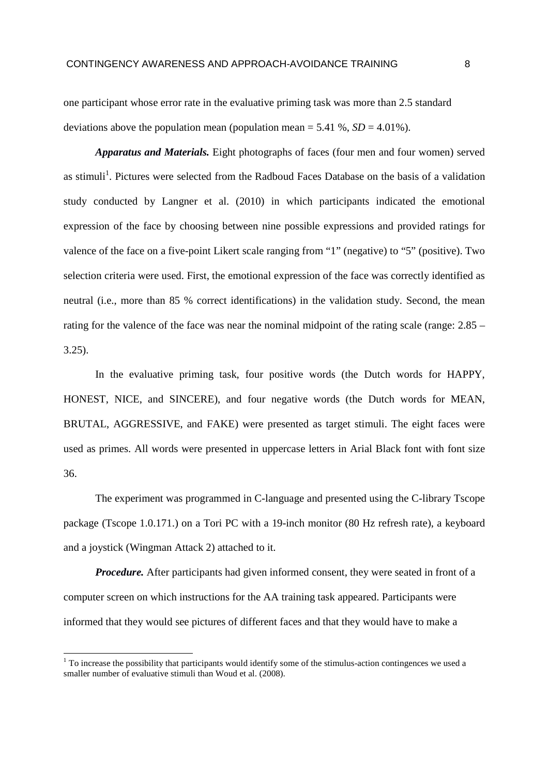one participant whose error rate in the evaluative priming task was more than 2.5 standard deviations above the population mean (population mean =  $5.41\%$ ,  $SD = 4.01\%$ ).

*Apparatus and Materials.* Eight photographs of faces (four men and four women) served as stimuli<sup>1</sup>. Pictures were selected from the Radboud Faces Database on the basis of a validation study conducted by Langner et al. (2010) in which participants indicated the emotional expression of the face by choosing between nine possible expressions and provided ratings for valence of the face on a five-point Likert scale ranging from "1" (negative) to "5" (positive). Two selection criteria were used. First, the emotional expression of the face was correctly identified as neutral (i.e., more than 85 % correct identifications) in the validation study. Second, the mean rating for the valence of the face was near the nominal midpoint of the rating scale (range: 2.85 – 3.25).

In the evaluative priming task, four positive words (the Dutch words for HAPPY, HONEST, NICE, and SINCERE), and four negative words (the Dutch words for MEAN, BRUTAL, AGGRESSIVE, and FAKE) were presented as target stimuli. The eight faces were used as primes. All words were presented in uppercase letters in Arial Black font with font size 36.

The experiment was programmed in C-language and presented using the C-library Tscope package (Tscope 1.0.171.) on a Tori PC with a 19-inch monitor (80 Hz refresh rate), a keyboard and a joystick (Wingman Attack 2) attached to it.

*Procedure.* After participants had given informed consent, they were seated in front of a computer screen on which instructions for the AA training task appeared. Participants were informed that they would see pictures of different faces and that they would have to make a

 $\overline{a}$ 

 $1$  To increase the possibility that participants would identify some of the stimulus-action contingences we used a smaller number of evaluative stimuli than Woud et al. (2008).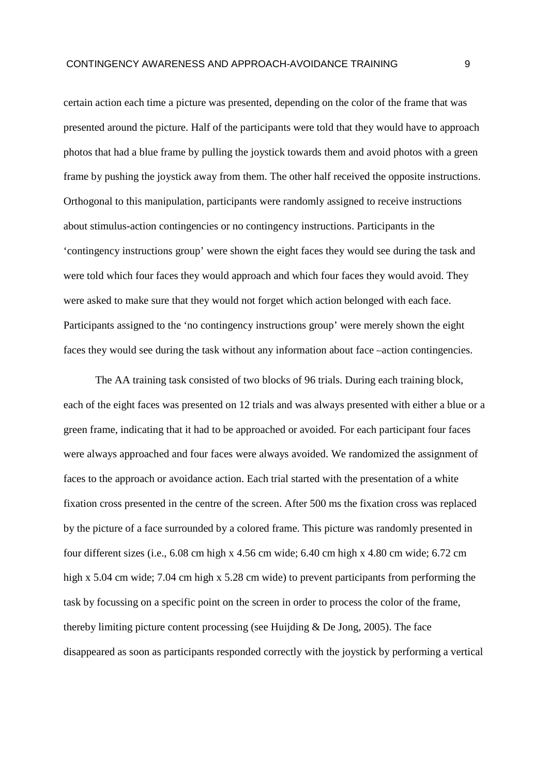certain action each time a picture was presented, depending on the color of the frame that was presented around the picture. Half of the participants were told that they would have to approach photos that had a blue frame by pulling the joystick towards them and avoid photos with a green frame by pushing the joystick away from them. The other half received the opposite instructions. Orthogonal to this manipulation, participants were randomly assigned to receive instructions about stimulus-action contingencies or no contingency instructions. Participants in the 'contingency instructions group' were shown the eight faces they would see during the task and were told which four faces they would approach and which four faces they would avoid. They were asked to make sure that they would not forget which action belonged with each face. Participants assigned to the 'no contingency instructions group' were merely shown the eight faces they would see during the task without any information about face –action contingencies.

The AA training task consisted of two blocks of 96 trials. During each training block, each of the eight faces was presented on 12 trials and was always presented with either a blue or a green frame, indicating that it had to be approached or avoided. For each participant four faces were always approached and four faces were always avoided. We randomized the assignment of faces to the approach or avoidance action. Each trial started with the presentation of a white fixation cross presented in the centre of the screen. After 500 ms the fixation cross was replaced by the picture of a face surrounded by a colored frame. This picture was randomly presented in four different sizes (i.e., 6.08 cm high x 4.56 cm wide; 6.40 cm high x 4.80 cm wide; 6.72 cm high x 5.04 cm wide; 7.04 cm high x 5.28 cm wide) to prevent participants from performing the task by focussing on a specific point on the screen in order to process the color of the frame, thereby limiting picture content processing (see Huijding & De Jong, 2005). The face disappeared as soon as participants responded correctly with the joystick by performing a vertical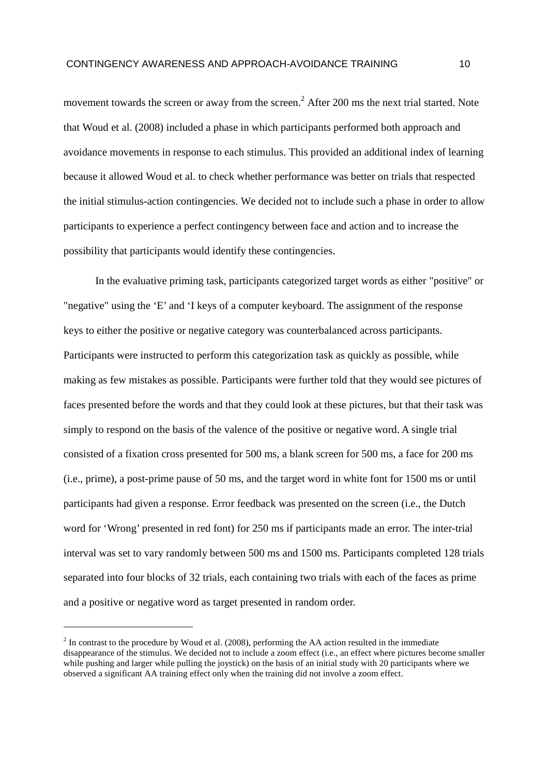movement towards the screen or away from the screen.<sup>2</sup> After 200 ms the next trial started. Note that Woud et al. (2008) included a phase in which participants performed both approach and avoidance movements in response to each stimulus. This provided an additional index of learning because it allowed Woud et al. to check whether performance was better on trials that respected the initial stimulus-action contingencies. We decided not to include such a phase in order to allow participants to experience a perfect contingency between face and action and to increase the possibility that participants would identify these contingencies.

In the evaluative priming task, participants categorized target words as either "positive" or "negative" using the 'E' and 'I keys of a computer keyboard. The assignment of the response keys to either the positive or negative category was counterbalanced across participants. Participants were instructed to perform this categorization task as quickly as possible, while making as few mistakes as possible. Participants were further told that they would see pictures of faces presented before the words and that they could look at these pictures, but that their task was simply to respond on the basis of the valence of the positive or negative word. A single trial consisted of a fixation cross presented for 500 ms, a blank screen for 500 ms, a face for 200 ms (i.e., prime), a post-prime pause of 50 ms, and the target word in white font for 1500 ms or until participants had given a response. Error feedback was presented on the screen (i.e., the Dutch word for 'Wrong' presented in red font) for 250 ms if participants made an error. The inter-trial interval was set to vary randomly between 500 ms and 1500 ms. Participants completed 128 trials separated into four blocks of 32 trials, each containing two trials with each of the faces as prime and a positive or negative word as target presented in random order.

 $2^{2}$  In contrast to the procedure by Woud et al. (2008), performing the AA action resulted in the immediate disappearance of the stimulus. We decided not to include a zoom effect (i.e., an effect where pictures become smaller while pushing and larger while pulling the joystick) on the basis of an initial study with 20 participants where we observed a significant AA training effect only when the training did not involve a zoom effect.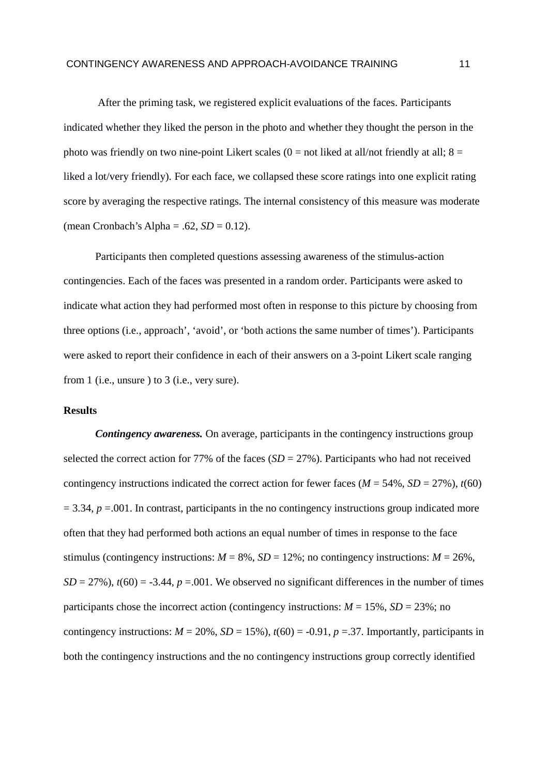After the priming task, we registered explicit evaluations of the faces. Participants indicated whether they liked the person in the photo and whether they thought the person in the photo was friendly on two nine-point Likert scales  $(0 = not$  liked at all/not friendly at all;  $8 =$ liked a lot/very friendly). For each face, we collapsed these score ratings into one explicit rating score by averaging the respective ratings. The internal consistency of this measure was moderate (mean Cronbach's Alpha = .62,  $SD = 0.12$ ).

Participants then completed questions assessing awareness of the stimulus-action contingencies. Each of the faces was presented in a random order. Participants were asked to indicate what action they had performed most often in response to this picture by choosing from three options (i.e., approach', 'avoid', or 'both actions the same number of times'). Participants were asked to report their confidence in each of their answers on a 3-point Likert scale ranging from 1 (i.e., unsure ) to 3 (i.e., very sure).

### **Results**

*Contingency awareness.* On average, participants in the contingency instructions group selected the correct action for 77% of the faces  $(SD = 27\%)$ . Participants who had not received contingency instructions indicated the correct action for fewer faces ( $M = 54\%$ ,  $SD = 27\%$ ),  $t(60)$  $= 3.34$ ,  $p = .001$ . In contrast, participants in the no contingency instructions group indicated more often that they had performed both actions an equal number of times in response to the face stimulus (contingency instructions:  $M = 8\%$ ,  $SD = 12\%$ ; no contingency instructions:  $M = 26\%$ ,  $SD = 27\%$ ),  $t(60) = -3.44$ ,  $p = .001$ . We observed no significant differences in the number of times participants chose the incorrect action (contingency instructions:  $M = 15\%$ ,  $SD = 23\%$ ; no contingency instructions:  $M = 20\%$ ,  $SD = 15\%$ ),  $t(60) = -0.91$ ,  $p = 37$ . Importantly, participants in both the contingency instructions and the no contingency instructions group correctly identified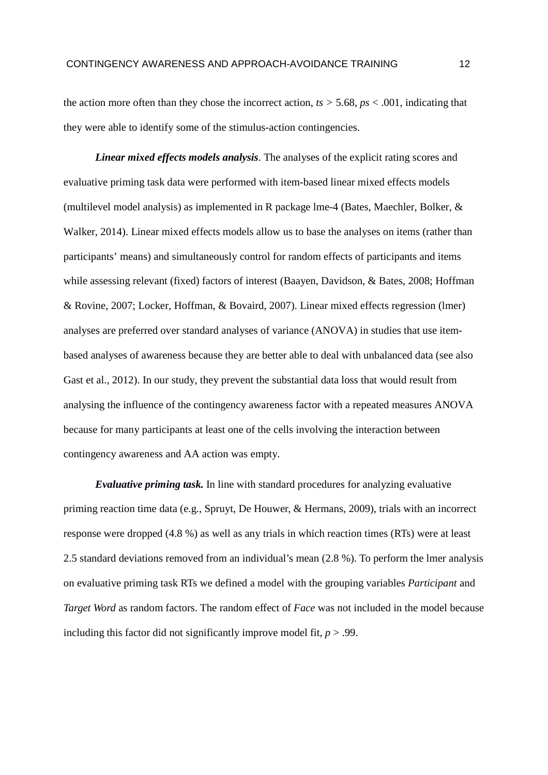the action more often than they chose the incorrect action,  $ts > 5.68$ ,  $ps < .001$ , indicating that they were able to identify some of the stimulus-action contingencies.

*Linear mixed effects models analysis*. The analyses of the explicit rating scores and evaluative priming task data were performed with item-based linear mixed effects models (multilevel model analysis) as implemented in R package lme-4 (Bates, Maechler, Bolker, & Walker, 2014). Linear mixed effects models allow us to base the analyses on items (rather than participants' means) and simultaneously control for random effects of participants and items while assessing relevant (fixed) factors of interest (Baayen, Davidson, & Bates, 2008; Hoffman & Rovine, 2007; Locker, Hoffman, & Bovaird, 2007). Linear mixed effects regression (lmer) analyses are preferred over standard analyses of variance (ANOVA) in studies that use itembased analyses of awareness because they are better able to deal with unbalanced data (see also Gast et al., 2012). In our study, they prevent the substantial data loss that would result from analysing the influence of the contingency awareness factor with a repeated measures ANOVA because for many participants at least one of the cells involving the interaction between contingency awareness and AA action was empty.

*Evaluative priming task.* In line with standard procedures for analyzing evaluative priming reaction time data (e.g., Spruyt, De Houwer, & Hermans, 2009), trials with an incorrect response were dropped (4.8 %) as well as any trials in which reaction times (RTs) were at least 2.5 standard deviations removed from an individual's mean (2.8 %). To perform the lmer analysis on evaluative priming task RTs we defined a model with the grouping variables *Participant* and *Target Word* as random factors. The random effect of *Face* was not included in the model because including this factor did not significantly improve model fit,  $p > .99$ .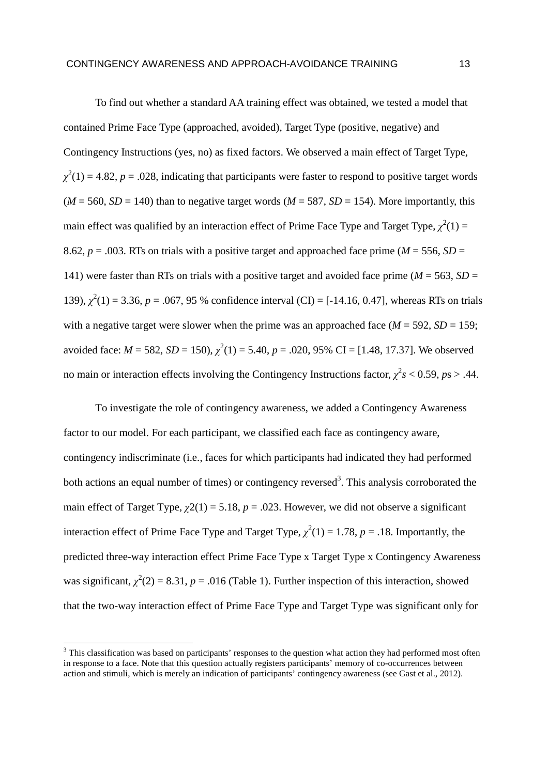To find out whether a standard AA training effect was obtained, we tested a model that contained Prime Face Type (approached, avoided), Target Type (positive, negative) and Contingency Instructions (yes, no) as fixed factors. We observed a main effect of Target Type,  $\chi^2(1) = 4.82$ , *p* = .028, indicating that participants were faster to respond to positive target words  $(M = 560, SD = 140)$  than to negative target words  $(M = 587, SD = 154)$ . More importantly, this main effect was qualified by an interaction effect of Prime Face Type and Target Type,  $\chi^2(1)$  = 8.62,  $p = .003$ . RTs on trials with a positive target and approached face prime ( $M = 556$ ,  $SD =$ 141) were faster than RTs on trials with a positive target and avoided face prime ( $M = 563$ ,  $SD =$ 139),  $\chi^2(1) = 3.36$ ,  $p = .067$ , 95 % confidence interval (CI) = [-14.16, 0.47], whereas RTs on trials with a negative target were slower when the prime was an approached face  $(M = 592, SD = 159;$ avoided face:  $M = 582$ ,  $SD = 150$ ),  $\chi^2(1) = 5.40$ ,  $p = .020$ , 95% CI = [1.48, 17.37]. We observed no main or interaction effects involving the Contingency Instructions factor,  $\chi^2 s < 0.59$ ,  $ps > .44$ .

To investigate the role of contingency awareness, we added a Contingency Awareness factor to our model. For each participant, we classified each face as contingency aware, contingency indiscriminate (i.e., faces for which participants had indicated they had performed both actions an equal number of times) or contingency reversed<sup>3</sup>. This analysis corroborated the main effect of Target Type,  $\chi$ 2(1) = 5.18, *p* = .023. However, we did not observe a significant interaction effect of Prime Face Type and Target Type,  $\chi^2(1) = 1.78$ ,  $p = .18$ . Importantly, the predicted three-way interaction effect Prime Face Type x Target Type x Contingency Awareness was significant,  $\chi^2(2) = 8.31$ ,  $p = .016$  (Table 1). Further inspection of this interaction, showed that the two-way interaction effect of Prime Face Type and Target Type was significant only for

<sup>&</sup>lt;sup>3</sup> This classification was based on participants' responses to the question what action they had performed most often in response to a face. Note that this question actually registers participants' memory of co-occurrences between action and stimuli, which is merely an indication of participants' contingency awareness (see Gast et al., 2012).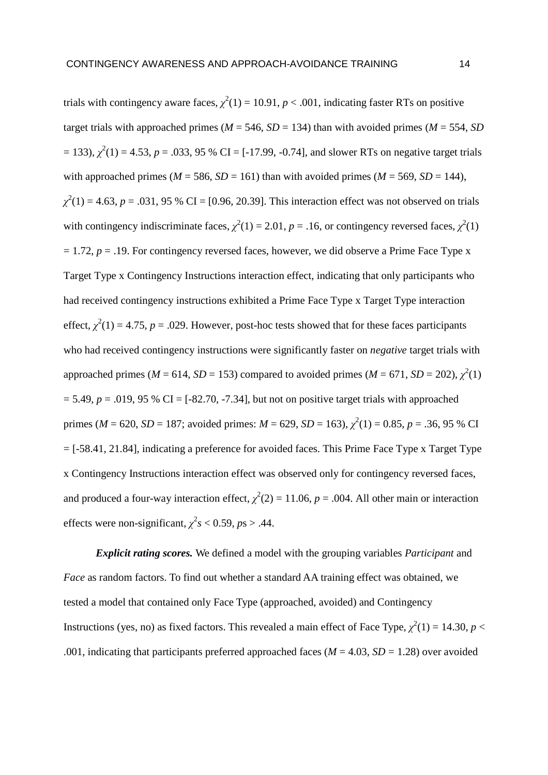trials with contingency aware faces,  $\chi^2(1) = 10.91$ ,  $p < .001$ , indicating faster RTs on positive target trials with approached primes ( $M = 546$ ,  $SD = 134$ ) than with avoided primes ( $M = 554$ , *SD*)  $= 133$ ),  $\chi^2(1) = 4.53$ ,  $p = .033$ , 95 % CI = [-17.99, -0.74], and slower RTs on negative target trials with approached primes ( $M = 586$ ,  $SD = 161$ ) than with avoided primes ( $M = 569$ ,  $SD = 144$ ),  $\chi^2(1) = 4.63$ , *p* = .031, 95 % CI = [0.96, 20.39]. This interaction effect was not observed on trials with contingency indiscriminate faces,  $\chi^2(1) = 2.01$ ,  $p = .16$ , or contingency reversed faces,  $\chi^2(1)$  $= 1.72$ ,  $p = 0.19$ . For contingency reversed faces, however, we did observe a Prime Face Type x Target Type x Contingency Instructions interaction effect, indicating that only participants who had received contingency instructions exhibited a Prime Face Type x Target Type interaction effect,  $\chi^2(1) = 4.75$ ,  $p = .029$ . However, post-hoc tests showed that for these faces participants who had received contingency instructions were significantly faster on *negative* target trials with approached primes ( $M = 614$ ,  $SD = 153$ ) compared to avoided primes ( $M = 671$ ,  $SD = 202$ ),  $\chi^2(1)$  $= 5.49, p = .019, 95 % CI = [-82.70, -7.34]$ , but not on positive target trials with approached primes ( $M = 620$ ,  $SD = 187$ ; avoided primes:  $M = 629$ ,  $SD = 163$ ),  $\chi^2(1) = 0.85$ ,  $p = .36$ , 95 % CI  $=$  [-58.41, 21.84], indicating a preference for avoided faces. This Prime Face Type x Target Type x Contingency Instructions interaction effect was observed only for contingency reversed faces, and produced a four-way interaction effect,  $\chi^2(2) = 11.06$ ,  $p = .004$ . All other main or interaction effects were non-significant,  $\chi^2 s < 0.59$ ,  $ps > .44$ .

*Explicit rating scores.* We defined a model with the grouping variables *Participant* and *Face* as random factors. To find out whether a standard AA training effect was obtained, we tested a model that contained only Face Type (approached, avoided) and Contingency Instructions (yes, no) as fixed factors. This revealed a main effect of Face Type,  $\chi^2(1) = 14.30$ ,  $p <$ .001, indicating that participants preferred approached faces ( $M = 4.03$ ,  $SD = 1.28$ ) over avoided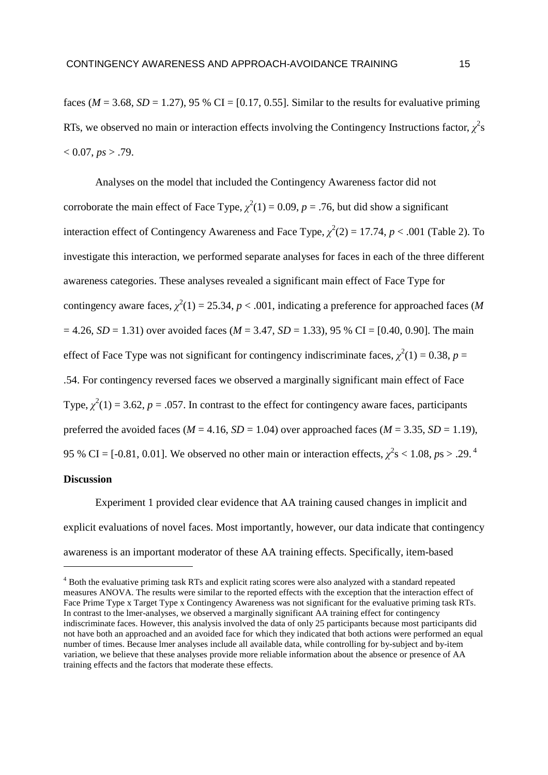faces ( $M = 3.68$ ,  $SD = 1.27$ ), 95 % CI = [0.17, 0.55]. Similar to the results for evaluative priming RTs, we observed no main or interaction effects involving the Contingency Instructions factor,  $\chi^2$ s  $< 0.07, ps > .79.$ 

Analyses on the model that included the Contingency Awareness factor did not corroborate the main effect of Face Type,  $\chi^2(1) = 0.09$ ,  $p = .76$ , but did show a significant interaction effect of Contingency Awareness and Face Type,  $\chi^2(2) = 17.74$ ,  $p < .001$  (Table 2). To investigate this interaction, we performed separate analyses for faces in each of the three different awareness categories. These analyses revealed a significant main effect of Face Type for contingency aware faces,  $\chi^2(1) = 25.34$ ,  $p < .001$ , indicating a preference for approached faces (*M*  $= 4.26$ , *SD* = 1.31) over avoided faces (*M* = 3.47, *SD* = 1.33), 95 % CI = [0.40, 0.90]. The main effect of Face Type was not significant for contingency indiscriminate faces,  $\chi^2(1) = 0.38$ ,  $p =$ .54. For contingency reversed faces we observed a marginally significant main effect of Face Type,  $\chi^2(1) = 3.62$ ,  $p = .057$ . In contrast to the effect for contingency aware faces, participants preferred the avoided faces ( $M = 4.16$ ,  $SD = 1.04$ ) over approached faces ( $M = 3.35$ ,  $SD = 1.19$ ), 95 % CI = [-0.81, 0.01]. We observed no other main or interaction effects,  $\chi^2$ s < 1.08, *p*s > .29.<sup>4</sup>

### **Discussion**

 $\overline{a}$ 

Experiment 1 provided clear evidence that AA training caused changes in implicit and explicit evaluations of novel faces. Most importantly, however, our data indicate that contingency awareness is an important moderator of these AA training effects. Specifically, item-based

<sup>&</sup>lt;sup>4</sup> Both the evaluative priming task RTs and explicit rating scores were also analyzed with a standard repeated measures ANOVA. The results were similar to the reported effects with the exception that the interaction effect of Face Prime Type x Target Type x Contingency Awareness was not significant for the evaluative priming task RTs. In contrast to the lmer-analyses, we observed a marginally significant AA training effect for contingency indiscriminate faces. However, this analysis involved the data of only 25 participants because most participants did not have both an approached and an avoided face for which they indicated that both actions were performed an equal number of times. Because lmer analyses include all available data, while controlling for by-subject and by-item variation, we believe that these analyses provide more reliable information about the absence or presence of AA training effects and the factors that moderate these effects.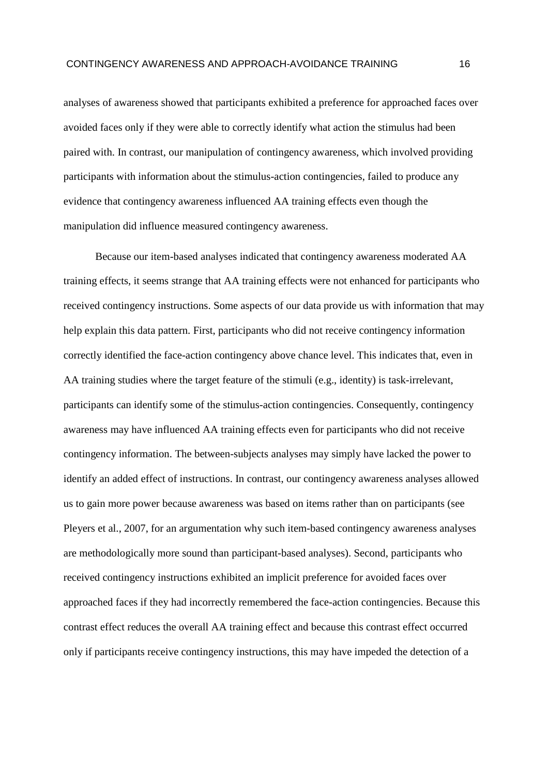analyses of awareness showed that participants exhibited a preference for approached faces over avoided faces only if they were able to correctly identify what action the stimulus had been paired with. In contrast, our manipulation of contingency awareness, which involved providing participants with information about the stimulus-action contingencies, failed to produce any evidence that contingency awareness influenced AA training effects even though the manipulation did influence measured contingency awareness.

Because our item-based analyses indicated that contingency awareness moderated AA training effects, it seems strange that AA training effects were not enhanced for participants who received contingency instructions. Some aspects of our data provide us with information that may help explain this data pattern. First, participants who did not receive contingency information correctly identified the face-action contingency above chance level. This indicates that, even in AA training studies where the target feature of the stimuli (e.g., identity) is task-irrelevant, participants can identify some of the stimulus-action contingencies. Consequently, contingency awareness may have influenced AA training effects even for participants who did not receive contingency information. The between-subjects analyses may simply have lacked the power to identify an added effect of instructions. In contrast, our contingency awareness analyses allowed us to gain more power because awareness was based on items rather than on participants (see Pleyers et al., 2007, for an argumentation why such item-based contingency awareness analyses are methodologically more sound than participant-based analyses). Second, participants who received contingency instructions exhibited an implicit preference for avoided faces over approached faces if they had incorrectly remembered the face-action contingencies. Because this contrast effect reduces the overall AA training effect and because this contrast effect occurred only if participants receive contingency instructions, this may have impeded the detection of a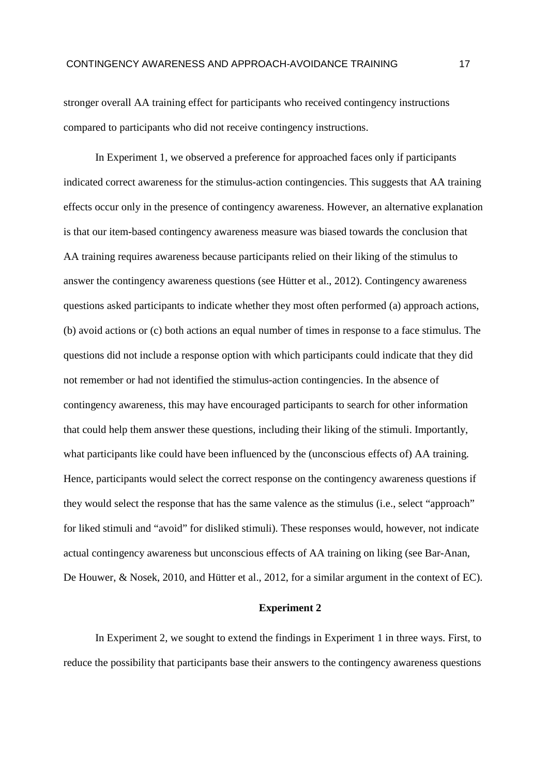stronger overall AA training effect for participants who received contingency instructions compared to participants who did not receive contingency instructions.

In Experiment 1, we observed a preference for approached faces only if participants indicated correct awareness for the stimulus-action contingencies. This suggests that AA training effects occur only in the presence of contingency awareness. However, an alternative explanation is that our item-based contingency awareness measure was biased towards the conclusion that AA training requires awareness because participants relied on their liking of the stimulus to answer the contingency awareness questions (see Hütter et al., 2012). Contingency awareness questions asked participants to indicate whether they most often performed (a) approach actions, (b) avoid actions or (c) both actions an equal number of times in response to a face stimulus. The questions did not include a response option with which participants could indicate that they did not remember or had not identified the stimulus-action contingencies. In the absence of contingency awareness, this may have encouraged participants to search for other information that could help them answer these questions, including their liking of the stimuli. Importantly, what participants like could have been influenced by the (unconscious effects of) AA training. Hence, participants would select the correct response on the contingency awareness questions if they would select the response that has the same valence as the stimulus (i.e., select "approach" for liked stimuli and "avoid" for disliked stimuli). These responses would, however, not indicate actual contingency awareness but unconscious effects of AA training on liking (see Bar-Anan, De Houwer, & Nosek, 2010, and Hütter et al., 2012, for a similar argument in the context of EC).

#### **Experiment 2**

In Experiment 2, we sought to extend the findings in Experiment 1 in three ways. First, to reduce the possibility that participants base their answers to the contingency awareness questions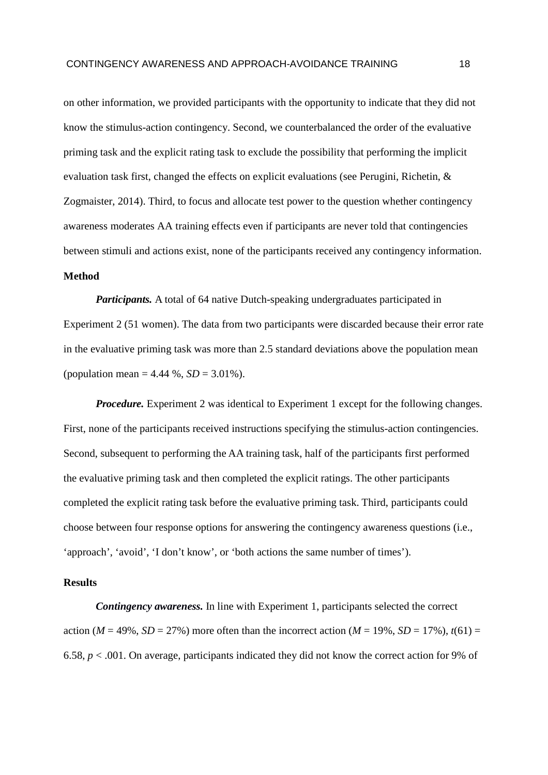on other information, we provided participants with the opportunity to indicate that they did not know the stimulus-action contingency. Second, we counterbalanced the order of the evaluative priming task and the explicit rating task to exclude the possibility that performing the implicit evaluation task first, changed the effects on explicit evaluations (see Perugini, Richetin, & Zogmaister, 2014). Third, to focus and allocate test power to the question whether contingency awareness moderates AA training effects even if participants are never told that contingencies between stimuli and actions exist, none of the participants received any contingency information.

# **Method**

*Participants.* A total of 64 native Dutch-speaking undergraduates participated in Experiment 2 (51 women). The data from two participants were discarded because their error rate in the evaluative priming task was more than 2.5 standard deviations above the population mean (population mean =  $4.44 \%$ ,  $SD = 3.01%$ ).

*Procedure.* Experiment 2 was identical to Experiment 1 except for the following changes. First, none of the participants received instructions specifying the stimulus-action contingencies. Second, subsequent to performing the AA training task, half of the participants first performed the evaluative priming task and then completed the explicit ratings. The other participants completed the explicit rating task before the evaluative priming task. Third, participants could choose between four response options for answering the contingency awareness questions (i.e., 'approach', 'avoid', 'I don't know', or 'both actions the same number of times').

### **Results**

*Contingency awareness.* In line with Experiment 1, participants selected the correct action ( $M = 49\%$ ,  $SD = 27\%$ ) more often than the incorrect action ( $M = 19\%$ ,  $SD = 17\%$ ),  $t(61) =$ 6.58, *p* < .001. On average, participants indicated they did not know the correct action for 9% of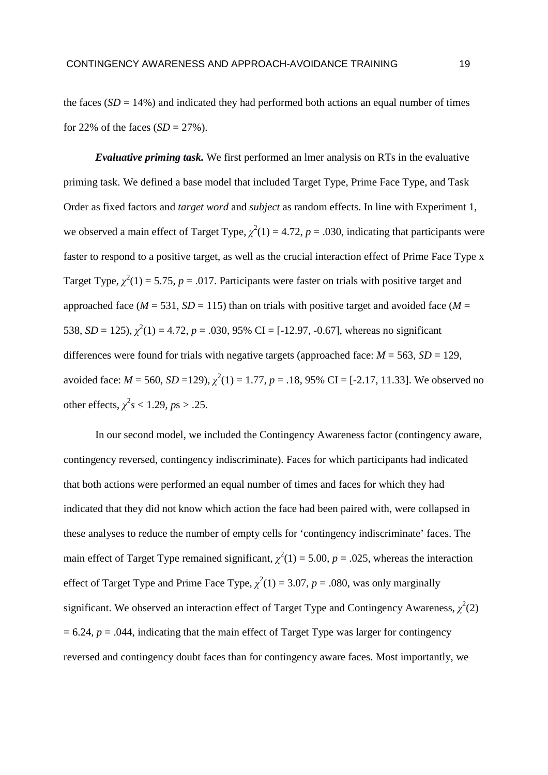the faces  $(SD = 14\%)$  and indicated they had performed both actions an equal number of times for 22% of the faces  $(SD = 27\%)$ .

*Evaluative priming task.* We first performed an lmer analysis on RTs in the evaluative priming task. We defined a base model that included Target Type, Prime Face Type, and Task Order as fixed factors and *target word* and *subject* as random effects. In line with Experiment 1, we observed a main effect of Target Type,  $\chi^2(1) = 4.72$ ,  $p = .030$ , indicating that participants were faster to respond to a positive target, as well as the crucial interaction effect of Prime Face Type x Target Type,  $\chi^2(1) = 5.75$ ,  $p = .017$ . Participants were faster on trials with positive target and approached face ( $M = 531$ ,  $SD = 115$ ) than on trials with positive target and avoided face ( $M =$ 538,  $SD = 125$ ),  $\chi^2(1) = 4.72$ ,  $p = .030$ , 95% CI = [-12.97, -0.67], whereas no significant differences were found for trials with negative targets (approached face:  $M = 563$ ,  $SD = 129$ , avoided face:  $M = 560$ ,  $SD = 129$ ),  $\chi^2(1) = 1.77$ ,  $p = .18$ , 95% CI = [-2.17, 11.33]. We observed no other effects,  $\chi^2 s < 1.29$ ,  $ps > .25$ .

In our second model, we included the Contingency Awareness factor (contingency aware, contingency reversed, contingency indiscriminate). Faces for which participants had indicated that both actions were performed an equal number of times and faces for which they had indicated that they did not know which action the face had been paired with, were collapsed in these analyses to reduce the number of empty cells for 'contingency indiscriminate' faces. The main effect of Target Type remained significant,  $\chi^2(1) = 5.00$ ,  $p = .025$ , whereas the interaction effect of Target Type and Prime Face Type,  $\chi^2(1) = 3.07$ ,  $p = .080$ , was only marginally significant. We observed an interaction effect of Target Type and Contingency Awareness,  $\chi^2(2)$  $= 6.24$ ,  $p = .044$ , indicating that the main effect of Target Type was larger for contingency reversed and contingency doubt faces than for contingency aware faces. Most importantly, we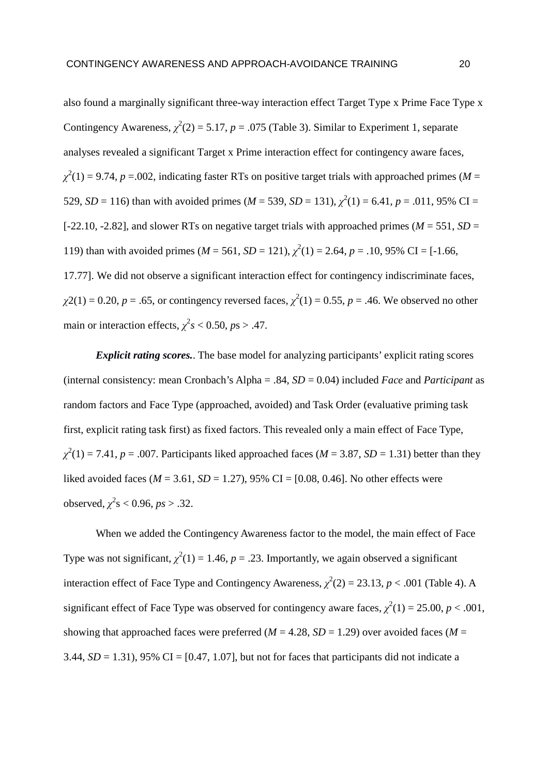also found a marginally significant three-way interaction effect Target Type x Prime Face Type x Contingency Awareness,  $\chi^2(2) = 5.17$ ,  $p = .075$  (Table 3). Similar to Experiment 1, separate analyses revealed a significant Target x Prime interaction effect for contingency aware faces,  $\chi^2(1) = 9.74$ , *p* = 0.02, indicating faster RTs on positive target trials with approached primes (*M* = 529, *SD* = 116) than with avoided primes (*M* = 539, *SD* = 131),  $\chi^2(1)$  = 6.41, *p* = .011, 95% CI = [-22.10, -2.82], and slower RTs on negative target trials with approached primes ( $M = 551$ ,  $SD =$ 119) than with avoided primes ( $M = 561$ ,  $SD = 121$ ),  $\chi^2(1) = 2.64$ ,  $p = .10$ , 95% CI = [-1.66, 17.77]. We did not observe a significant interaction effect for contingency indiscriminate faces,  $\chi$ 2(1) = 0.20, *p* = .65, or contingency reversed faces,  $\chi^2(1) = 0.55$ , *p* = .46. We observed no other main or interaction effects,  $\chi^2 s < 0.50$ ,  $ps > .47$ .

*Explicit rating scores.*. The base model for analyzing participants' explicit rating scores (internal consistency: mean Cronbach's Alpha = .84, *SD* = 0.04) included *Face* and *Participant* as random factors and Face Type (approached, avoided) and Task Order (evaluative priming task first, explicit rating task first) as fixed factors. This revealed only a main effect of Face Type,  $\chi^2(1) = 7.41$ , *p* = .007. Participants liked approached faces (*M* = 3.87, *SD* = 1.31) better than they liked avoided faces ( $M = 3.61$ ,  $SD = 1.27$ ), 95% CI = [0.08, 0.46]. No other effects were observed,  $\chi^2$ s < 0.96, *ps* > .32.

When we added the Contingency Awareness factor to the model, the main effect of Face Type was not significant,  $\chi^2(1) = 1.46$ ,  $p = .23$ . Importantly, we again observed a significant interaction effect of Face Type and Contingency Awareness,  $\chi^2(2) = 23.13$ ,  $p < .001$  (Table 4). A significant effect of Face Type was observed for contingency aware faces,  $\chi^2(1) = 25.00, p < .001,$ showing that approached faces were preferred ( $M = 4.28$ ,  $SD = 1.29$ ) over avoided faces ( $M =$ 3.44,  $SD = 1.31$ ), 95% CI = [0.47, 1.07], but not for faces that participants did not indicate a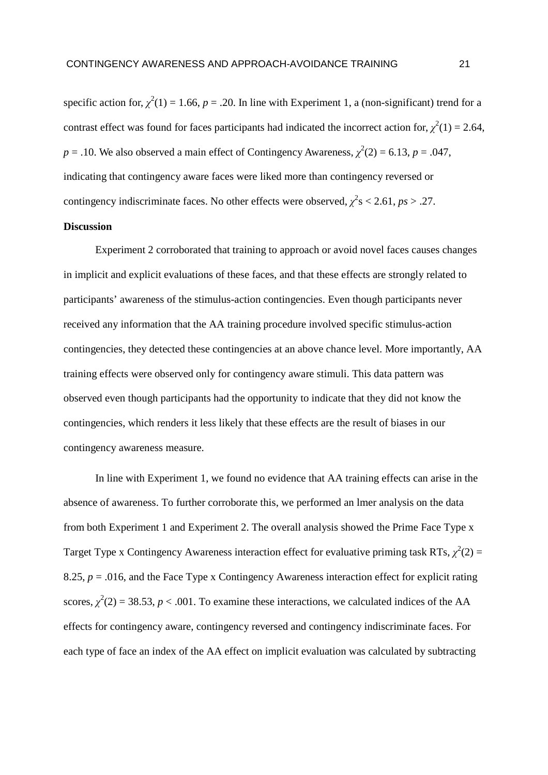specific action for,  $\chi^2(1) = 1.66$ ,  $p = .20$ . In line with Experiment 1, a (non-significant) trend for a contrast effect was found for faces participants had indicated the incorrect action for,  $\chi^2(1) = 2.64$ ,  $p = .10$ . We also observed a main effect of Contingency Awareness,  $\chi^2(2) = 6.13$ ,  $p = .047$ , indicating that contingency aware faces were liked more than contingency reversed or contingency indiscriminate faces. No other effects were observed,  $\chi^2$ s < 2.61, *ps* > .27.

# **Discussion**

Experiment 2 corroborated that training to approach or avoid novel faces causes changes in implicit and explicit evaluations of these faces, and that these effects are strongly related to participants' awareness of the stimulus-action contingencies. Even though participants never received any information that the AA training procedure involved specific stimulus-action contingencies, they detected these contingencies at an above chance level. More importantly, AA training effects were observed only for contingency aware stimuli. This data pattern was observed even though participants had the opportunity to indicate that they did not know the contingencies, which renders it less likely that these effects are the result of biases in our contingency awareness measure.

In line with Experiment 1, we found no evidence that AA training effects can arise in the absence of awareness. To further corroborate this, we performed an lmer analysis on the data from both Experiment 1 and Experiment 2. The overall analysis showed the Prime Face Type x Target Type x Contingency Awareness interaction effect for evaluative priming task RTs,  $\chi^2(2)$  = 8.25,  $p = 0.016$ , and the Face Type x Contingency Awareness interaction effect for explicit rating scores,  $\chi^2(2) = 38.53$ ,  $p < .001$ . To examine these interactions, we calculated indices of the AA effects for contingency aware, contingency reversed and contingency indiscriminate faces. For each type of face an index of the AA effect on implicit evaluation was calculated by subtracting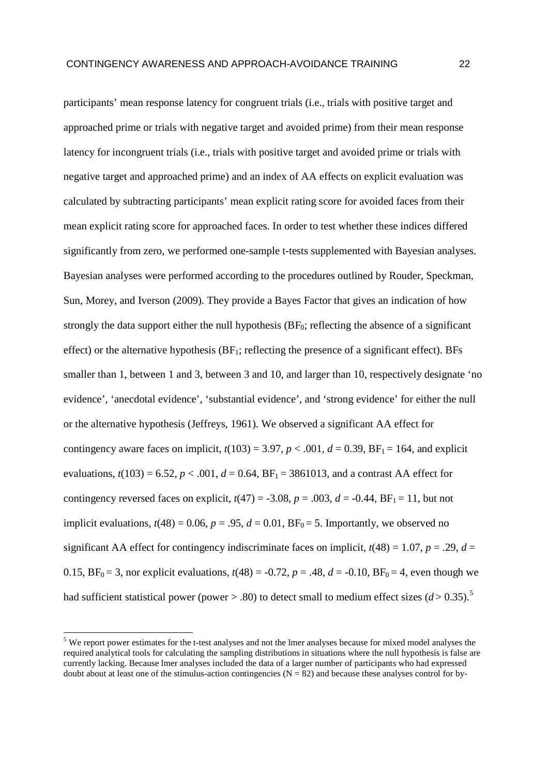participants' mean response latency for congruent trials (i.e., trials with positive target and approached prime or trials with negative target and avoided prime) from their mean response latency for incongruent trials (i.e., trials with positive target and avoided prime or trials with negative target and approached prime) and an index of AA effects on explicit evaluation was calculated by subtracting participants' mean explicit rating score for avoided faces from their mean explicit rating score for approached faces. In order to test whether these indices differed significantly from zero, we performed one-sample t-tests supplemented with Bayesian analyses. Bayesian analyses were performed according to the procedures outlined by Rouder, Speckman, Sun, Morey, and Iverson (2009). They provide a Bayes Factor that gives an indication of how strongly the data support either the null hypothesis  $(BF_0;$  reflecting the absence of a significant effect) or the alternative hypothesis  $(BF_1;$  reflecting the presence of a significant effect). BFs smaller than 1, between 1 and 3, between 3 and 10, and larger than 10, respectively designate 'no evidence', 'anecdotal evidence', 'substantial evidence', and 'strong evidence' for either the null or the alternative hypothesis (Jeffreys, 1961). We observed a significant AA effect for contingency aware faces on implicit,  $t(103) = 3.97$ ,  $p < .001$ ,  $d = 0.39$ ,  $BF_1 = 164$ , and explicit evaluations,  $t(103) = 6.52$ ,  $p < .001$ ,  $d = 0.64$ ,  $BF_1 = 3861013$ , and a contrast AA effect for contingency reversed faces on explicit,  $t(47) = -3.08$ ,  $p = .003$ ,  $d = -0.44$ ,  $BF_1 = 11$ , but not implicit evaluations,  $t(48) = 0.06$ ,  $p = .95$ ,  $d = 0.01$ ,  $BF_0 = 5$ . Importantly, we observed no significant AA effect for contingency indiscriminate faces on implicit,  $t(48) = 1.07$ ,  $p = .29$ ,  $d =$ 0.15,  $BF_0 = 3$ , nor explicit evaluations,  $t(48) = -0.72$ ,  $p = .48$ ,  $d = -0.10$ ,  $BF_0 = 4$ , even though we had sufficient statistical power (power  $> 0.80$ ) to detect small to medium effect sizes ( $d > 0.35$ ).<sup>5</sup>

 $\overline{a}$ 

<sup>&</sup>lt;sup>5</sup> We report power estimates for the t-test analyses and not the lmer analyses because for mixed model analyses the required analytical tools for calculating the sampling distributions in situations where the null hypothesis is false are currently lacking. Because lmer analyses included the data of a larger number of participants who had expressed doubt about at least one of the stimulus-action contingencies ( $N = 82$ ) and because these analyses control for by-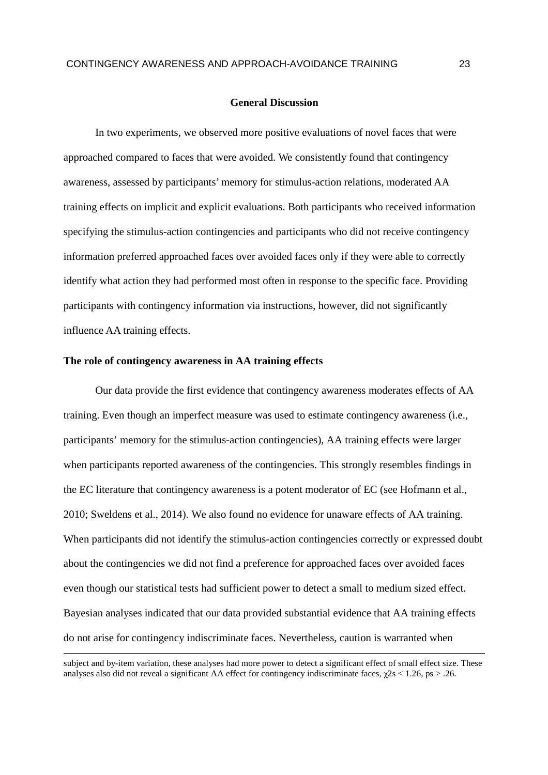#### **General Discussion**

In two experiments, we observed more positive evaluations of novel faces that were approached compared to faces that were avoided. We consistently found that contingency awareness, assessed by participants' memory for stimulus-action relations, moderated AA training effects on implicit and explicit evaluations. Both participants who received information specifying the stimulus-action contingencies and participants who did not receive contingency information preferred approached faces over avoided faces only if they were able to correctly identify what action they had performed most often in response to the specific face. Providing participants with contingency information via instructions, however, did not significantly influence AA training effects.

#### **The role of contingency awareness in AA training effects**

 $\overline{a}$ 

Our data provide the first evidence that contingency awareness moderates effects of AA training. Even though an imperfect measure was used to estimate contingency awareness (i.e., participants' memory for the stimulus-action contingencies), AA training effects were larger when participants reported awareness of the contingencies. This strongly resembles findings in the EC literature that contingency awareness is a potent moderator of EC (see Hofmann et al., 2010; Sweldens et al., 2014). We also found no evidence for unaware effects of AA training. When participants did not identify the stimulus-action contingencies correctly or expressed doubt about the contingencies we did not find a preference for approached faces over avoided faces even though our statistical tests had sufficient power to detect a small to medium sized effect. Bayesian analyses indicated that our data provided substantial evidence that AA training effects do not arise for contingency indiscriminate faces. Nevertheless, caution is warranted when

subject and by-item variation, these analyses had more power to detect a significant effect of small effect size. These analyses also did not reveal a significant AA effect for contingency indiscriminate faces,  $\gamma$ 2s < 1.26, ps > .26.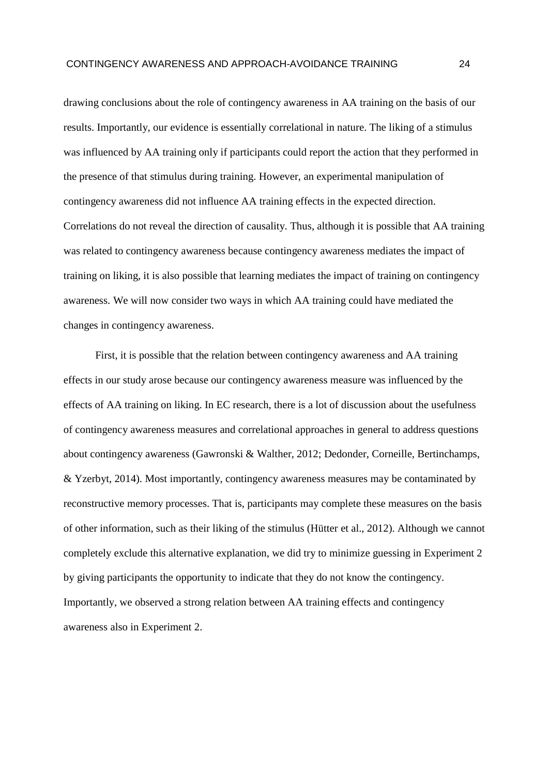drawing conclusions about the role of contingency awareness in AA training on the basis of our results. Importantly, our evidence is essentially correlational in nature. The liking of a stimulus was influenced by AA training only if participants could report the action that they performed in the presence of that stimulus during training. However, an experimental manipulation of contingency awareness did not influence AA training effects in the expected direction. Correlations do not reveal the direction of causality. Thus, although it is possible that AA training was related to contingency awareness because contingency awareness mediates the impact of training on liking, it is also possible that learning mediates the impact of training on contingency awareness. We will now consider two ways in which AA training could have mediated the changes in contingency awareness.

First, it is possible that the relation between contingency awareness and AA training effects in our study arose because our contingency awareness measure was influenced by the effects of AA training on liking. In EC research, there is a lot of discussion about the usefulness of contingency awareness measures and correlational approaches in general to address questions about contingency awareness (Gawronski & Walther, 2012; Dedonder, Corneille, Bertinchamps, & Yzerbyt, 2014). Most importantly, contingency awareness measures may be contaminated by reconstructive memory processes. That is, participants may complete these measures on the basis of other information, such as their liking of the stimulus (Hütter et al., 2012). Although we cannot completely exclude this alternative explanation, we did try to minimize guessing in Experiment 2 by giving participants the opportunity to indicate that they do not know the contingency. Importantly, we observed a strong relation between AA training effects and contingency awareness also in Experiment 2.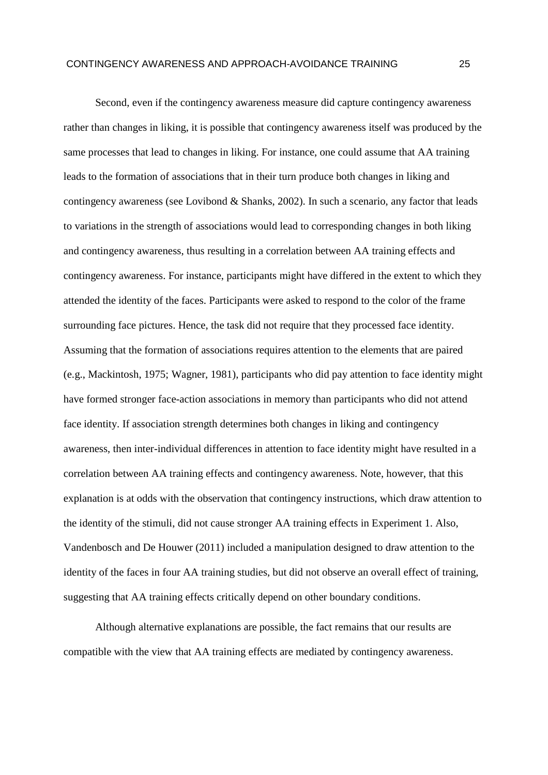Second, even if the contingency awareness measure did capture contingency awareness rather than changes in liking, it is possible that contingency awareness itself was produced by the same processes that lead to changes in liking. For instance, one could assume that AA training leads to the formation of associations that in their turn produce both changes in liking and contingency awareness (see Lovibond & Shanks, 2002). In such a scenario, any factor that leads to variations in the strength of associations would lead to corresponding changes in both liking and contingency awareness, thus resulting in a correlation between AA training effects and contingency awareness. For instance, participants might have differed in the extent to which they attended the identity of the faces. Participants were asked to respond to the color of the frame surrounding face pictures. Hence, the task did not require that they processed face identity. Assuming that the formation of associations requires attention to the elements that are paired (e.g., Mackintosh, 1975; Wagner, 1981), participants who did pay attention to face identity might have formed stronger face-action associations in memory than participants who did not attend face identity. If association strength determines both changes in liking and contingency awareness, then inter-individual differences in attention to face identity might have resulted in a correlation between AA training effects and contingency awareness. Note, however, that this explanation is at odds with the observation that contingency instructions, which draw attention to the identity of the stimuli, did not cause stronger AA training effects in Experiment 1. Also, Vandenbosch and De Houwer (2011) included a manipulation designed to draw attention to the identity of the faces in four AA training studies, but did not observe an overall effect of training, suggesting that AA training effects critically depend on other boundary conditions.

Although alternative explanations are possible, the fact remains that our results are compatible with the view that AA training effects are mediated by contingency awareness.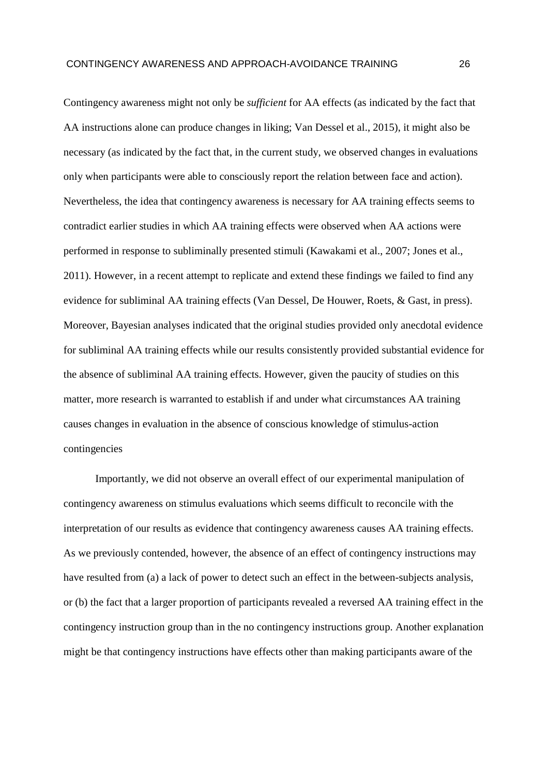Contingency awareness might not only be *sufficient* for AA effects (as indicated by the fact that AA instructions alone can produce changes in liking; Van Dessel et al., 2015), it might also be necessary (as indicated by the fact that, in the current study, we observed changes in evaluations only when participants were able to consciously report the relation between face and action). Nevertheless, the idea that contingency awareness is necessary for AA training effects seems to contradict earlier studies in which AA training effects were observed when AA actions were performed in response to subliminally presented stimuli (Kawakami et al., 2007; Jones et al., 2011). However, in a recent attempt to replicate and extend these findings we failed to find any evidence for subliminal AA training effects (Van Dessel, De Houwer, Roets, & Gast, in press). Moreover, Bayesian analyses indicated that the original studies provided only anecdotal evidence for subliminal AA training effects while our results consistently provided substantial evidence for the absence of subliminal AA training effects. However, given the paucity of studies on this matter, more research is warranted to establish if and under what circumstances AA training causes changes in evaluation in the absence of conscious knowledge of stimulus-action contingencies

Importantly, we did not observe an overall effect of our experimental manipulation of contingency awareness on stimulus evaluations which seems difficult to reconcile with the interpretation of our results as evidence that contingency awareness causes AA training effects. As we previously contended, however, the absence of an effect of contingency instructions may have resulted from (a) a lack of power to detect such an effect in the between-subjects analysis, or (b) the fact that a larger proportion of participants revealed a reversed AA training effect in the contingency instruction group than in the no contingency instructions group. Another explanation might be that contingency instructions have effects other than making participants aware of the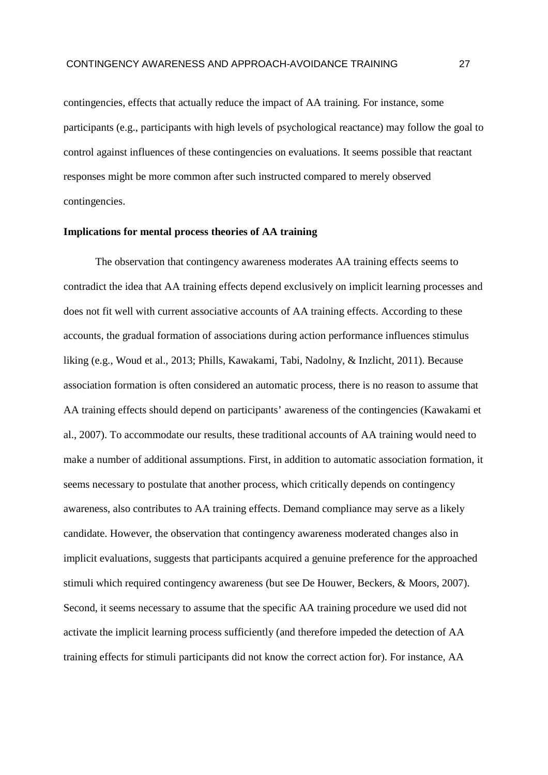contingencies, effects that actually reduce the impact of AA training. For instance, some participants (e.g., participants with high levels of psychological reactance) may follow the goal to control against influences of these contingencies on evaluations. It seems possible that reactant responses might be more common after such instructed compared to merely observed contingencies.

#### **Implications for mental process theories of AA training**

The observation that contingency awareness moderates AA training effects seems to contradict the idea that AA training effects depend exclusively on implicit learning processes and does not fit well with current associative accounts of AA training effects. According to these accounts, the gradual formation of associations during action performance influences stimulus liking (e.g., Woud et al., 2013; Phills, Kawakami, Tabi, Nadolny, & Inzlicht, 2011). Because association formation is often considered an automatic process, there is no reason to assume that AA training effects should depend on participants' awareness of the contingencies (Kawakami et al., 2007). To accommodate our results, these traditional accounts of AA training would need to make a number of additional assumptions. First, in addition to automatic association formation, it seems necessary to postulate that another process, which critically depends on contingency awareness, also contributes to AA training effects. Demand compliance may serve as a likely candidate. However, the observation that contingency awareness moderated changes also in implicit evaluations, suggests that participants acquired a genuine preference for the approached stimuli which required contingency awareness (but see De Houwer, Beckers, & Moors, 2007). Second, it seems necessary to assume that the specific AA training procedure we used did not activate the implicit learning process sufficiently (and therefore impeded the detection of AA training effects for stimuli participants did not know the correct action for). For instance, AA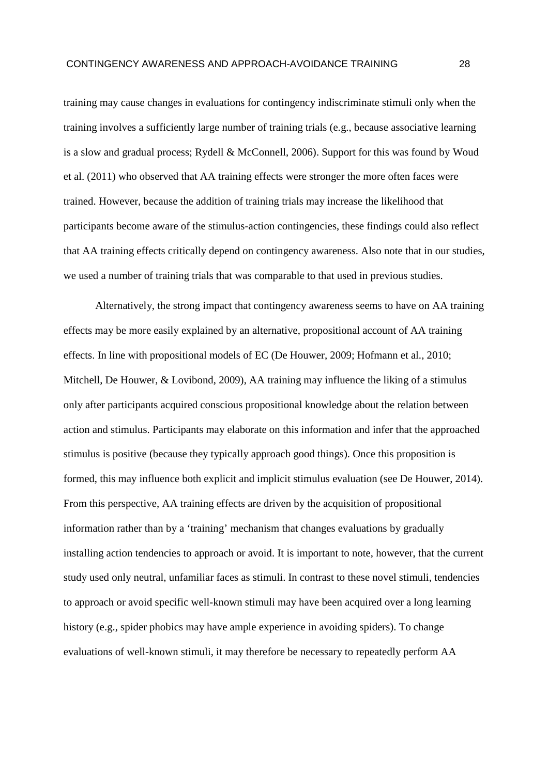training may cause changes in evaluations for contingency indiscriminate stimuli only when the training involves a sufficiently large number of training trials (e.g., because associative learning is a slow and gradual process; Rydell & McConnell, 2006). Support for this was found by Woud et al. (2011) who observed that AA training effects were stronger the more often faces were trained. However, because the addition of training trials may increase the likelihood that participants become aware of the stimulus-action contingencies, these findings could also reflect that AA training effects critically depend on contingency awareness. Also note that in our studies, we used a number of training trials that was comparable to that used in previous studies.

Alternatively, the strong impact that contingency awareness seems to have on AA training effects may be more easily explained by an alternative, propositional account of AA training effects. In line with propositional models of EC (De Houwer, 2009; Hofmann et al., 2010; Mitchell, De Houwer, & Lovibond, 2009), AA training may influence the liking of a stimulus only after participants acquired conscious propositional knowledge about the relation between action and stimulus. Participants may elaborate on this information and infer that the approached stimulus is positive (because they typically approach good things). Once this proposition is formed, this may influence both explicit and implicit stimulus evaluation (see De Houwer, 2014). From this perspective, AA training effects are driven by the acquisition of propositional information rather than by a 'training' mechanism that changes evaluations by gradually installing action tendencies to approach or avoid. It is important to note, however, that the current study used only neutral, unfamiliar faces as stimuli. In contrast to these novel stimuli, tendencies to approach or avoid specific well-known stimuli may have been acquired over a long learning history (e.g., spider phobics may have ample experience in avoiding spiders). To change evaluations of well-known stimuli, it may therefore be necessary to repeatedly perform AA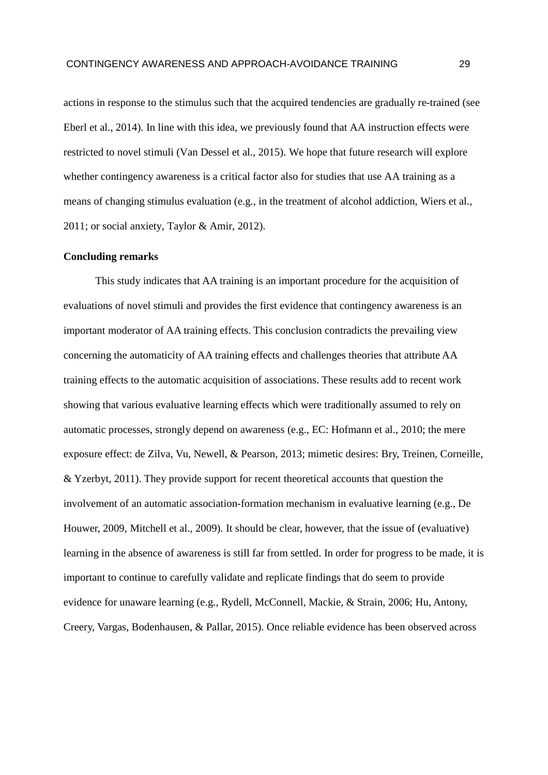actions in response to the stimulus such that the acquired tendencies are gradually re-trained (see Eberl et al., 2014). In line with this idea, we previously found that AA instruction effects were restricted to novel stimuli (Van Dessel et al., 2015). We hope that future research will explore whether contingency awareness is a critical factor also for studies that use AA training as a means of changing stimulus evaluation (e.g., in the treatment of alcohol addiction, Wiers et al., 2011; or social anxiety, Taylor & Amir, 2012).

# **Concluding remarks**

This study indicates that AA training is an important procedure for the acquisition of evaluations of novel stimuli and provides the first evidence that contingency awareness is an important moderator of AA training effects. This conclusion contradicts the prevailing view concerning the automaticity of AA training effects and challenges theories that attribute AA training effects to the automatic acquisition of associations. These results add to recent work showing that various evaluative learning effects which were traditionally assumed to rely on automatic processes, strongly depend on awareness (e.g., EC: Hofmann et al., 2010; the mere exposure effect: de Zilva, Vu, Newell, & Pearson, 2013; mimetic desires: Bry, Treinen, Corneille, & Yzerbyt, 2011). They provide support for recent theoretical accounts that question the involvement of an automatic association-formation mechanism in evaluative learning (e.g., De Houwer, 2009, Mitchell et al., 2009). It should be clear, however, that the issue of (evaluative) learning in the absence of awareness is still far from settled. In order for progress to be made, it is important to continue to carefully validate and replicate findings that do seem to provide evidence for unaware learning (e.g., Rydell, McConnell, Mackie, & Strain, 2006; Hu, Antony, Creery, Vargas, Bodenhausen, & Pallar, 2015). Once reliable evidence has been observed across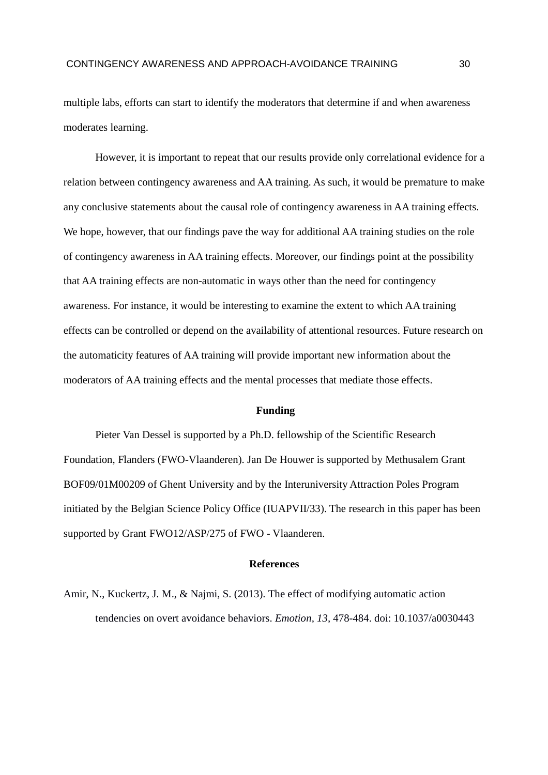multiple labs, efforts can start to identify the moderators that determine if and when awareness moderates learning.

However, it is important to repeat that our results provide only correlational evidence for a relation between contingency awareness and AA training. As such, it would be premature to make any conclusive statements about the causal role of contingency awareness in AA training effects. We hope, however, that our findings pave the way for additional AA training studies on the role of contingency awareness in AA training effects. Moreover, our findings point at the possibility that AA training effects are non-automatic in ways other than the need for contingency awareness. For instance, it would be interesting to examine the extent to which AA training effects can be controlled or depend on the availability of attentional resources. Future research on the automaticity features of AA training will provide important new information about the moderators of AA training effects and the mental processes that mediate those effects.

#### **Funding**

Pieter Van Dessel is supported by a Ph.D. fellowship of the Scientific Research Foundation, Flanders (FWO-Vlaanderen). Jan De Houwer is supported by Methusalem Grant BOF09/01M00209 of Ghent University and by the Interuniversity Attraction Poles Program initiated by the Belgian Science Policy Office (IUAPVII/33). The research in this paper has been supported by Grant FWO12/ASP/275 of FWO - Vlaanderen.

#### **References**

Amir, N., Kuckertz, J. M., & Najmi, S. (2013). The effect of modifying automatic action tendencies on overt avoidance behaviors. *Emotion, 13,* 478-484. doi: 10.1037/a0030443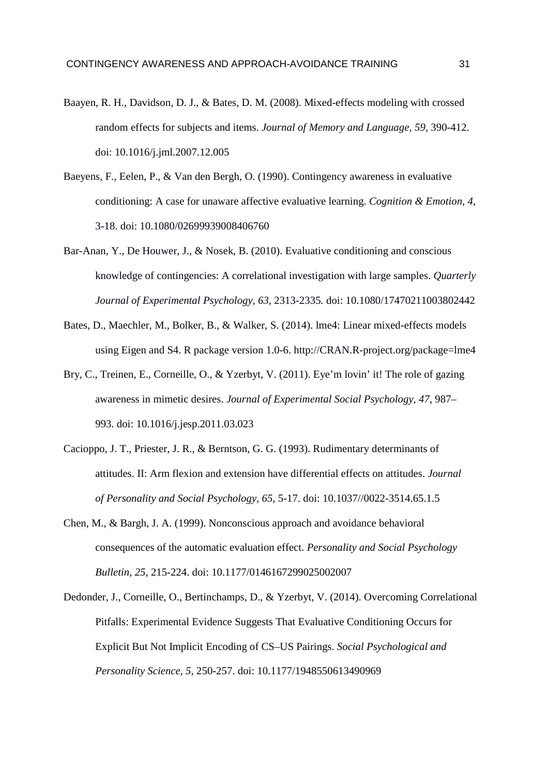- Baayen, R. H., Davidson, D. J., & Bates, D. M. (2008). Mixed-effects modeling with crossed random effects for subjects and items. *Journal of Memory and Language, 59,* 390-412. doi: 10.1016/j.jml.2007.12.005
- Baeyens, F., Eelen, P., & Van den Bergh, O. (1990). Contingency awareness in evaluative conditioning: A case for unaware affective evaluative learning. *Cognition & Emotion, 4*, 3-18. doi: 10.1080/02699939008406760
- Bar-Anan, Y., De Houwer, J., & Nosek, B. (2010). Evaluative conditioning and conscious knowledge of contingencies: A correlational investigation with large samples. *Quarterly Journal of Experimental Psychology, 63,* 2313-2335*.* doi: 10.1080/17470211003802442
- Bates, D., Maechler, M., Bolker, B., & Walker, S. (2014). lme4: Linear mixed-effects models using Eigen and S4. R package version 1.0-6. http://CRAN.R-project.org/package=lme4
- Bry, C., Treinen, E., Corneille, O., & Yzerbyt, V. (2011). Eye'm lovin' it! The role of gazing awareness in mimetic desires. *Journal of Experimental Social Psychology, 47*, 987– 993. doi: 10.1016/j.jesp.2011.03.023
- Cacioppo, J. T., Priester, J. R., & Berntson, G. G. (1993). Rudimentary determinants of attitudes. II: Arm flexion and extension have differential effects on attitudes. *Journal of Personality and Social Psychology, 65*, 5-17. doi: 10.1037//0022-3514.65.1.5
- Chen, M., & Bargh, J. A. (1999). Nonconscious approach and avoidance behavioral consequences of the automatic evaluation effect. *Personality and Social Psychology Bulletin, 25,* 215-224. doi: 10.1177/0146167299025002007
- Dedonder, J., Corneille, O., Bertinchamps, D., & Yzerbyt, V. (2014). Overcoming Correlational Pitfalls: Experimental Evidence Suggests That Evaluative Conditioning Occurs for Explicit But Not Implicit Encoding of CS–US Pairings. *Social Psychological and Personality Science, 5*, 250-257. doi: 10.1177/1948550613490969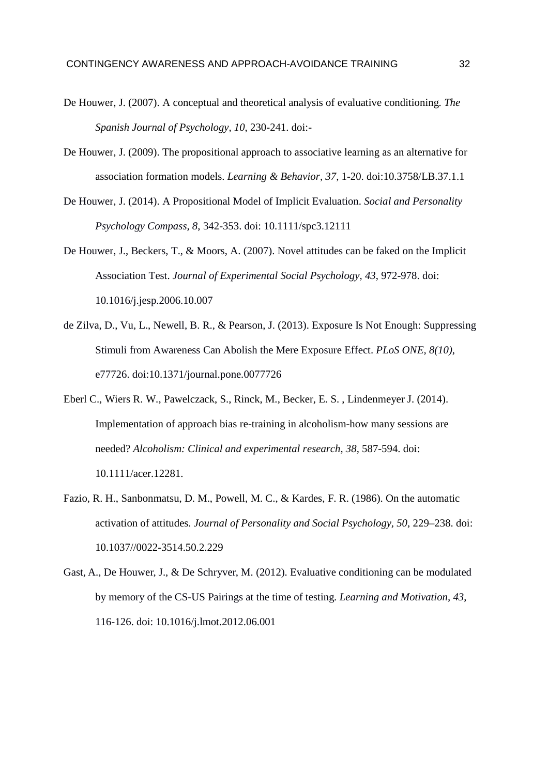- De Houwer, J. (2007). A conceptual and theoretical analysis of evaluative conditioning. *The Spanish Journal of Psychology, 10*, 230-241. doi:-
- De Houwer, J. (2009). The propositional approach to associative learning as an alternative for association formation models. *Learning & Behavior, 37,* 1-20. doi:10.3758/LB.37.1.1
- De Houwer, J. (2014). A Propositional Model of Implicit Evaluation. *Social and Personality Psychology Compass, 8*, 342-353. doi: 10.1111/spc3.12111
- De Houwer, J., Beckers, T., & Moors, A. (2007). Novel attitudes can be faked on the Implicit Association Test. *Journal of Experimental Social Psychology, 43*, 972-978. doi: 10.1016/j.jesp.2006.10.007
- de Zilva, D., Vu, L., Newell, B. R., & Pearson, J. (2013). Exposure Is Not Enough: Suppressing Stimuli from Awareness Can Abolish the Mere Exposure Effect. *PLoS ONE, 8(10)*, e77726. doi:10.1371/journal.pone.0077726
- Eberl C., Wiers R. W., Pawelczack, S., Rinck, M., Becker, E. S. , Lindenmeyer J. (2014). Implementation of approach bias re-training in alcoholism-how many sessions are needed? *Alcoholism: Clinical and experimental research, 38,* 587-594. doi: 10.1111/acer.12281.
- Fazio, R. H., Sanbonmatsu, D. M., Powell, M. C., & Kardes, F. R. (1986). On the automatic activation of attitudes. *Journal of Personality and Social Psychology, 50*, 229–238. doi: 10.1037//0022-3514.50.2.229
- Gast, A., De Houwer, J., & De Schryver, M. (2012). Evaluative conditioning can be modulated by memory of the CS-US Pairings at the time of testing. *Learning and Motivation, 43*, 116-126. doi: 10.1016/j.lmot.2012.06.001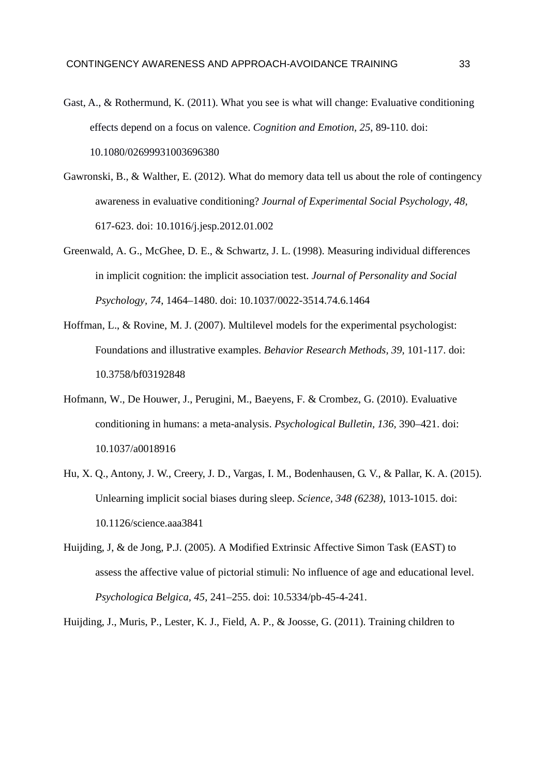- Gast, A., & Rothermund, K. (2011). What you see is what will change: Evaluative conditioning effects depend on a focus on valence. *Cognition and Emotion, 25*, 89-110. doi: 10.1080/02699931003696380
- Gawronski, B., & Walther, E. (2012). What do memory data tell us about the role of contingency awareness in evaluative conditioning? *Journal of Experimental Social Psychology, 48,* 617-623. doi: 10.1016/j.jesp.2012.01.002
- Greenwald, A. G., McGhee, D. E., & Schwartz, J. L. (1998). Measuring individual differences in implicit cognition: the implicit association test. *Journal of Personality and Social Psychology, 74*, 1464–1480. doi: 10.1037/0022-3514.74.6.1464
- Hoffman, L., & Rovine, M. J. (2007). Multilevel models for the experimental psychologist: Foundations and illustrative examples. *Behavior Research Methods, 39,* 101-117. doi: 10.3758/bf03192848
- Hofmann, W., De Houwer, J., Perugini, M., Baeyens, F. & Crombez, G. (2010). Evaluative conditioning in humans: a meta-analysis. *Psychological Bulletin, 136,* 390–421. doi: 10.1037/a0018916
- Hu, X. Q., Antony, J. W., Creery, J. D., Vargas, I. M., Bodenhausen, G. V., & Pallar, K. A. (2015). Unlearning implicit social biases during sleep. *Science, 348 (6238)*, 1013-1015. doi: 10.1126/science.aaa3841
- Huijding, J, & de Jong, P.J. (2005). A Modified Extrinsic Affective Simon Task (EAST) to assess the affective value of pictorial stimuli: No influence of age and educational level. *Psychologica Belgica, 45*, 241–255. doi: 10.5334/pb-45-4-241.

Huijding, J., Muris, P., Lester, K. J., Field, A. P., & Joosse, G. (2011). Training children to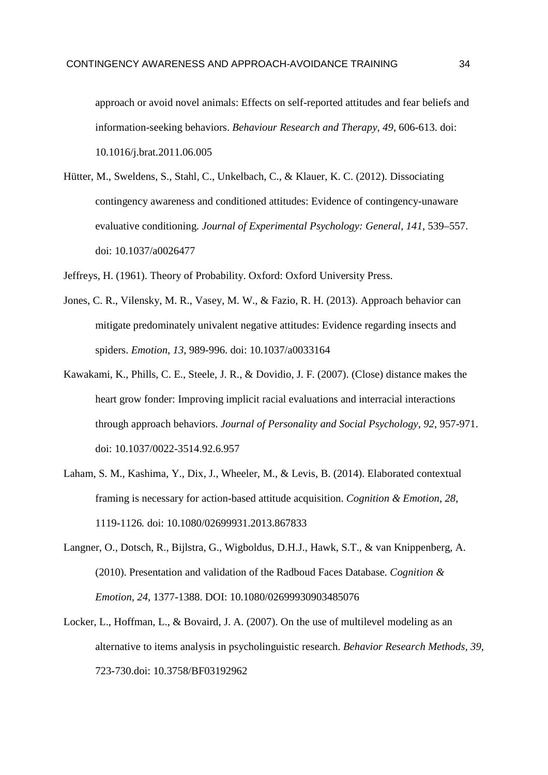approach or avoid novel animals: Effects on self-reported attitudes and fear beliefs and information-seeking behaviors. *Behaviour Research and Therapy, 49*, 606-613. doi: 10.1016/j.brat.2011.06.005

- Hütter, M., Sweldens, S., Stahl, C., Unkelbach, C., & Klauer, K. C. (2012). Dissociating contingency awareness and conditioned attitudes: Evidence of contingency-unaware evaluative conditioning. *Journal of Experimental Psychology: General, 141*, 539–557. doi: 10.1037/a0026477
- Jeffreys, H. (1961). Theory of Probability. Oxford: Oxford University Press.
- Jones, C. R., Vilensky, M. R., Vasey, M. W., & Fazio, R. H. (2013). Approach behavior can mitigate predominately univalent negative attitudes: Evidence regarding insects and spiders. *Emotion, 13*, 989-996. doi: 10.1037/a0033164
- Kawakami, K., Phills, C. E., Steele, J. R., & Dovidio, J. F. (2007). (Close) distance makes the heart grow fonder: Improving implicit racial evaluations and interracial interactions through approach behaviors. *Journal of Personality and Social Psychology, 92*, 957-971. doi: 10.1037/0022-3514.92.6.957
- Laham, S. M., Kashima, Y., Dix, J., Wheeler, M., & Levis, B. (2014). Elaborated contextual framing is necessary for action-based attitude acquisition. *Cognition & Emotion, 28*, 1119-1126*.* doi: 10.1080/02699931.2013.867833
- Langner, O., Dotsch, R., Bijlstra, G., Wigboldus, D.H.J., Hawk, S.T., & van Knippenberg, A. (2010). Presentation and validation of the Radboud Faces Database*. Cognition & Emotion, 24,* 1377-1388. DOI: 10.1080/02699930903485076
- Locker, L., Hoffman, L., & Bovaird, J. A. (2007). On the use of multilevel modeling as an alternative to items analysis in psycholinguistic research. *Behavior Research Methods, 39,* 723-730.doi: 10.3758/BF03192962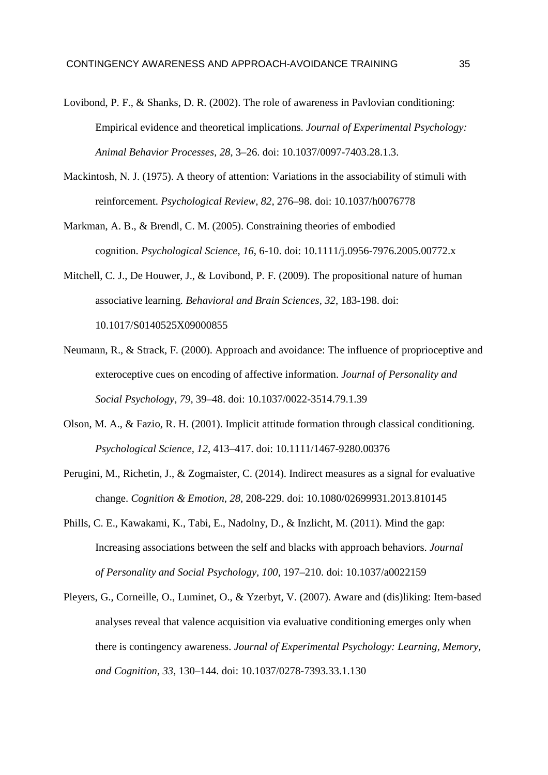- Lovibond, P. F., & Shanks, D. R. (2002). The role of awareness in Pavlovian conditioning: Empirical evidence and theoretical implications. *Journal of Experimental Psychology: Animal Behavior Processes, 28*, 3–26. doi: 10.1037/0097-7403.28.1.3.
- Mackintosh, N. J. (1975). A theory of attention: Variations in the associability of stimuli with reinforcement. *Psychological Review, 82,* 276–98. doi: 10.1037/h0076778
- Markman, A. B., & Brendl, C. M. (2005). Constraining theories of embodied cognition. *Psychological Science, 16*, 6-10. doi: 10.1111/j.0956-7976.2005.00772.x
- Mitchell, C. J., De Houwer, J., & Lovibond, P. F. (2009). The propositional nature of human associative learning. *Behavioral and Brain Sciences, 32*, 183-198. doi: 10.1017/S0140525X09000855
- Neumann, R., & Strack, F. (2000). Approach and avoidance: The influence of proprioceptive and exteroceptive cues on encoding of affective information. *Journal of Personality and Social Psychology, 79*, 39–48. doi: 10.1037/0022-3514.79.1.39
- Olson, M. A., & Fazio, R. H. (2001). Implicit attitude formation through classical conditioning. *Psychological Science, 12*, 413–417. doi: 10.1111/1467-9280.00376
- Perugini, M., Richetin, J., & Zogmaister, C. (2014). Indirect measures as a signal for evaluative change. *Cognition & Emotion, 28*, 208-229. doi: 10.1080/02699931.2013.810145
- Phills, C. E., Kawakami, K., Tabi, E., Nadolny, D., & Inzlicht, M. (2011). Mind the gap: Increasing associations between the self and blacks with approach behaviors. *Journal of Personality and Social Psychology, 100*, 197–210. doi: 10.1037/a0022159
- Pleyers, G., Corneille, O., Luminet, O., & Yzerbyt, V. (2007). Aware and (dis)liking: Item-based analyses reveal that valence acquisition via evaluative conditioning emerges only when there is contingency awareness. *Journal of Experimental Psychology: Learning, Memory, and Cognition, 33,* 130–144. doi: 10.1037/0278-7393.33.1.130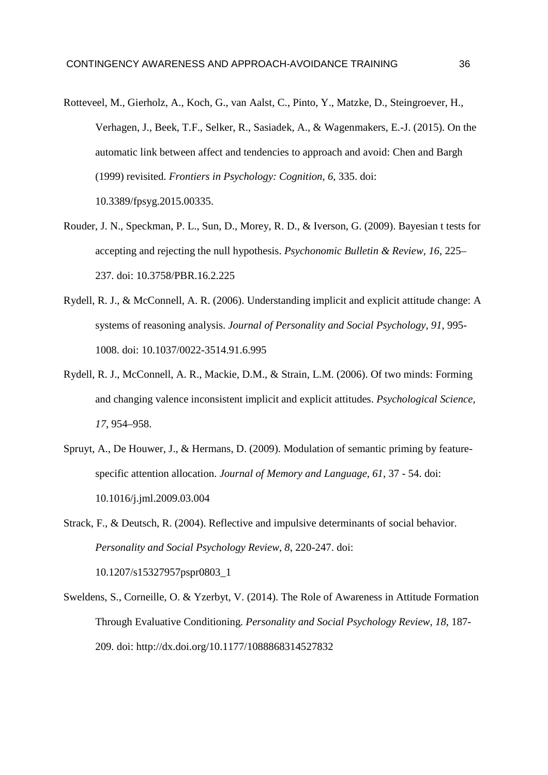- Rotteveel, M., Gierholz, A., Koch, G., van Aalst, C., Pinto, Y., Matzke, D., Steingroever, H., Verhagen, J., Beek, T.F., Selker, R., Sasiadek, A., & Wagenmakers, E.-J. (2015). On the automatic link between affect and tendencies to approach and avoid: Chen and Bargh (1999) revisited. *Frontiers in Psychology: Cognition*, *6*, 335. doi: 10.3389/fpsyg.2015.00335.
- Rouder, J. N., Speckman, P. L., Sun, D., Morey, R. D., & Iverson, G. (2009). Bayesian t tests for accepting and rejecting the null hypothesis. *Psychonomic Bulletin & Review, 16*, 225– 237. doi: 10.3758/PBR.16.2.225
- Rydell, R. J., & McConnell, A. R. (2006). Understanding implicit and explicit attitude change: A systems of reasoning analysis. *Journal of Personality and Social Psychology, 91*, 995- 1008. doi: 10.1037/0022-3514.91.6.995
- Rydell, R. J., McConnell, A. R., Mackie, D.M., & Strain, L.M. (2006). Of two minds: Forming and changing valence inconsistent implicit and explicit attitudes. *Psychological Science, 17*, 954–958.
- Spruyt, A., De Houwer, J., & Hermans, D. (2009). Modulation of semantic priming by feature specific attention allocation. *Journal of Memory and Language, 61,* 37 - 54. doi: 10.1016/j.jml.2009.03.004
- Strack, F., & Deutsch, R. (2004). Reflective and impulsive determinants of social behavior. *Personality and Social Psychology Review, 8*, 220-247. doi: 10.1207/s15327957pspr0803\_1
- Sweldens, S., Corneille, O. & Yzerbyt, V. (2014). The Role of Awareness in Attitude Formation Through Evaluative Conditioning. *Personality and Social Psychology Review, 18*, 187- 209. doi: http://dx.doi.org/10.1177/1088868314527832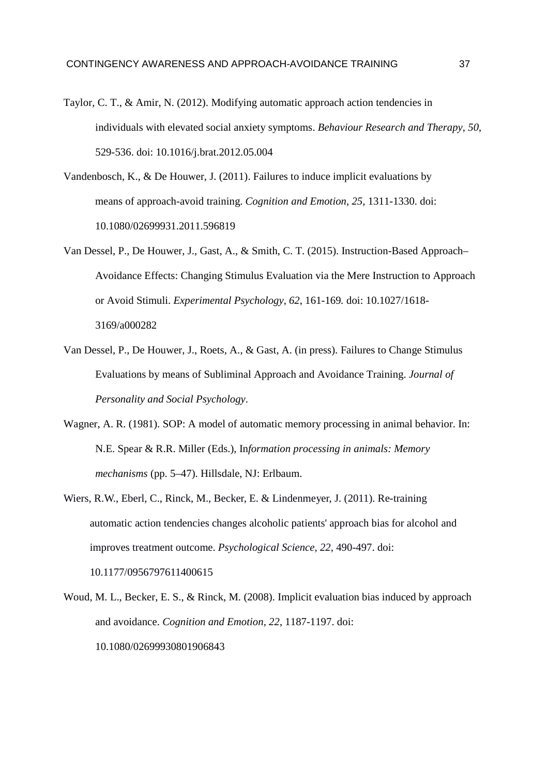- Taylor, C. T., & Amir, N. (2012). Modifying automatic approach action tendencies in individuals with elevated social anxiety symptoms. *Behaviour Research and Therapy, 50*, 529-536. doi: 10.1016/j.brat.2012.05.004
- Vandenbosch, K., & De Houwer, J. (2011). Failures to induce implicit evaluations by means of approach-avoid training. *Cognition and Emotion, 25,* 1311-1330. doi: 10.1080/02699931.2011.596819
- Van Dessel, P., De Houwer, J., Gast, A., & Smith, C. T. (2015). Instruction-Based Approach– Avoidance Effects: Changing Stimulus Evaluation via the Mere Instruction to Approach or Avoid Stimuli. *Experimental Psychology, 62*, 161-169*.* doi: 10.1027/1618- 3169/a000282
- Van Dessel, P., De Houwer, J., Roets, A., & Gast, A. (in press). Failures to Change Stimulus Evaluations by means of Subliminal Approach and Avoidance Training. *Journal of Personality and Social Psychology*.
- Wagner, A. R. (1981). SOP: A model of automatic memory processing in animal behavior. In: N.E. Spear & R.R. Miller (Eds.), In*formation processing in animals: Memory mechanisms* (pp. 5–47). Hillsdale, NJ: Erlbaum.
- Wiers, R.W., Eberl, C., Rinck, M., Becker, E. & Lindenmeyer, J. (2011). Re-training automatic action tendencies changes alcoholic patients' approach bias for alcohol and improves treatment outcome. *Psychological Science, 22,* 490-497. doi: 10.1177/0956797611400615
- Woud, M. L., Becker, E. S., & Rinck, M. (2008). Implicit evaluation bias induced by approach and avoidance. *Cognition and Emotion, 22*, 1187-1197. doi: 10.1080/02699930801906843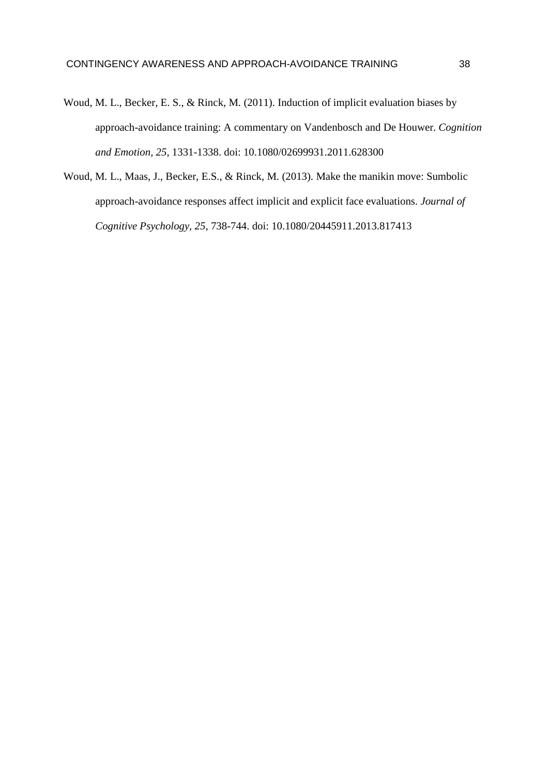- Woud, M. L., Becker, E. S., & Rinck, M. (2011). Induction of implicit evaluation biases by approach-avoidance training: A commentary on Vandenbosch and De Houwer. *Cognition and Emotion, 25*, 1331-1338. doi: 10.1080/02699931.2011.628300
- Woud, M. L., Maas, J., Becker, E.S., & Rinck, M. (2013). Make the manikin move: Sumbolic approach-avoidance responses affect implicit and explicit face evaluations. *Journal of Cognitive Psychology, 25*, 738-744. doi: 10.1080/20445911.2013.817413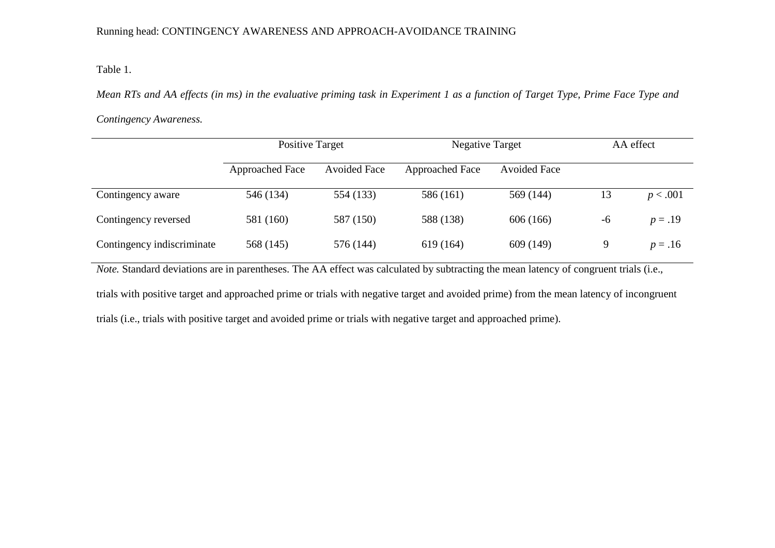# Running head: CONTINGENCY AWARENESS AND APPROACH-AVOIDANCE TRAINING

# Table 1.

*Mean RTs and AA effects (in ms) in the evaluative priming task in Experiment 1 as a function of Target Type, Prime Face Type and* 

# *Contingency Awareness.*

|                            | <b>Positive Target</b> |                     | <b>Negative Target</b> |                     | AA effect |           |
|----------------------------|------------------------|---------------------|------------------------|---------------------|-----------|-----------|
|                            | <b>Approached Face</b> | <b>Avoided Face</b> | <b>Approached Face</b> | <b>Avoided Face</b> |           |           |
| Contingency aware          | 546 (134)              | 554 (133)           | 586 (161)              | 569 (144)           | 13        | p < .001  |
| Contingency reversed       | 581 (160)              | 587 (150)           | 588 (138)              | 606 (166)           | -6        | $p = .19$ |
| Contingency indiscriminate | 568 (145)              | 576 (144)           | 619 (164)              | 609 (149)           | 9         | $p = .16$ |

*Note.* Standard deviations are in parentheses. The AA effect was calculated by subtracting the mean latency of congruent trials (i.e.,

trials with positive target and approached prime or trials with negative target and avoided prime) from the mean latency of incongruent trials (i.e., trials with positive target and avoided prime or trials with negative target and approached prime).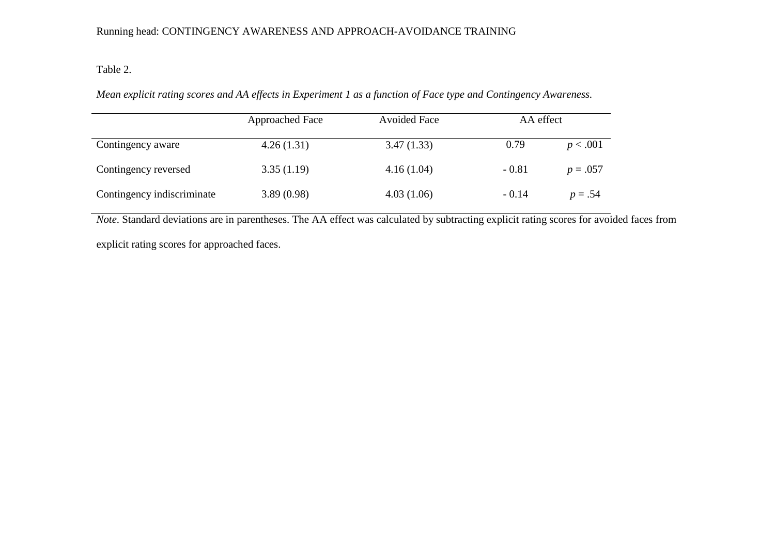# Running head: CONTINGENCY AWARENESS AND APPROACH-AVOIDANCE TRAINING

# Table 2.

*Mean explicit rating scores and AA effects in Experiment 1 as a function of Face type and Contingency Awareness.* 

|                            | Approached Face | <b>Avoided Face</b> | AA effect |            |
|----------------------------|-----------------|---------------------|-----------|------------|
| Contingency aware          | 4.26(1.31)      | 3.47(1.33)          | 0.79      | p < .001   |
| Contingency reversed       | 3.35(1.19)      | 4.16(1.04)          | $-0.81$   | $p = .057$ |
| Contingency indiscriminate | 3.89(0.98)      | 4.03(1.06)          | $-0.14$   | $p = .54$  |

*Note*. Standard deviations are in parentheses. The AA effect was calculated by subtracting explicit rating scores for avoided faces from

explicit rating scores for approached faces.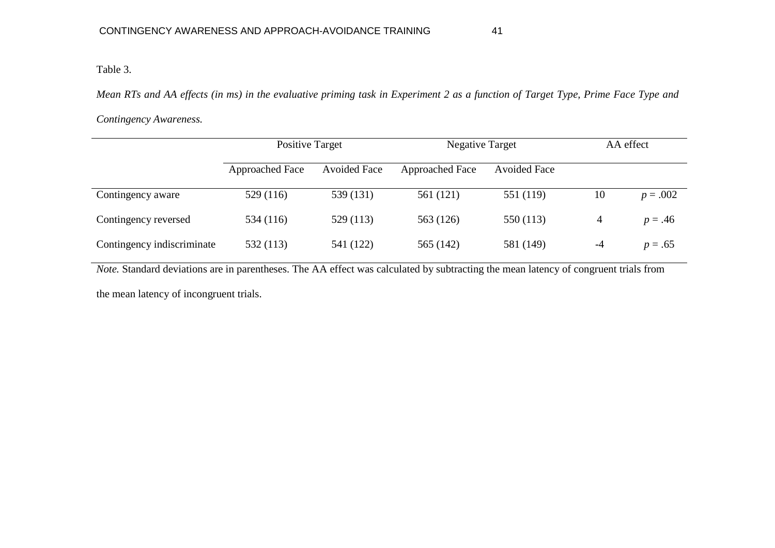# Table 3.

*Mean RTs and AA effects (in ms) in the evaluative priming task in Experiment 2 as a function of Target Type, Prime Face Type and* 

*Contingency Awareness.* 

|                            | <b>Positive Target</b> |                     | <b>Negative Target</b> |                     | AA effect |            |
|----------------------------|------------------------|---------------------|------------------------|---------------------|-----------|------------|
|                            | Approached Face        | <b>Avoided Face</b> | Approached Face        | <b>Avoided Face</b> |           |            |
| Contingency aware          | 529 (116)              | 539 (131)           | 561 (121)              | 551 (119)           | 10        | $p = .002$ |
| Contingency reversed       | 534 (116)              | 529 (113)           | 563 (126)              | 550 (113)           | 4         | $p = .46$  |
| Contingency indiscriminate | 532 (113)              | 541 (122)           | 565 (142)              | 581 (149)           | $-4$      | $p = .65$  |

*Note.* Standard deviations are in parentheses. The AA effect was calculated by subtracting the mean latency of congruent trials from

the mean latency of incongruent trials.